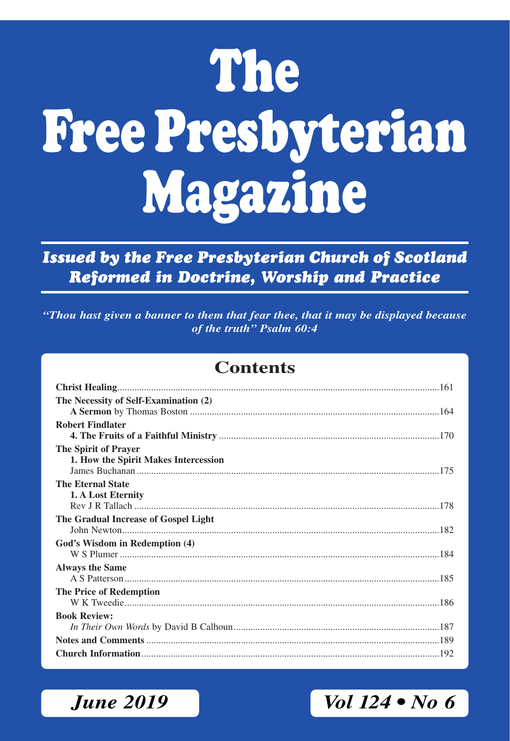# **The Free Presbyterian Magazine**

*Issued by the Free Presbyterian Church of Scotland Reformed in Doctrine, Worship and Practice*

*"Thou hast given a banner to them that fear thee, that it may be displayed because of the truth" Psalm 60:4*

### **Contents**

| The Necessity of Self-Examination (2) |
|---------------------------------------|
|                                       |
| <b>Robert Findlater</b>               |
|                                       |
| The Spirit of Prayer                  |
| 1. How the Spirit Makes Intercession  |
|                                       |
| <b>The Eternal State</b>              |
| 1. A Lost Eternity                    |
|                                       |
| The Gradual Increase of Gospel Light  |
|                                       |
| God's Wisdom in Redemption (4)        |
|                                       |
| <b>Always the Same</b>                |
|                                       |
| The Price of Redemption               |
|                                       |
| <b>Book Review:</b>                   |
|                                       |
|                                       |
|                                       |

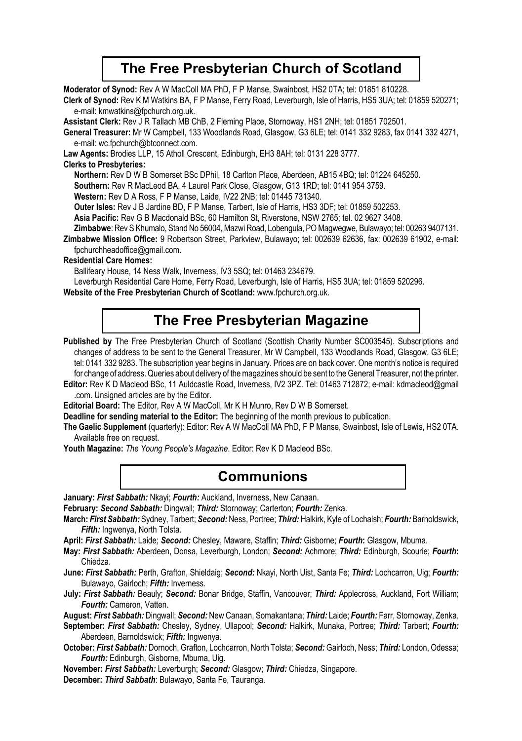### **The Free Presbyterian Church of Scotland**

**Moderator of Synod:** Rev A W MacColl MA PhD, F P Manse, Swainbost, HS2 0TA; tel: 01851 810228.

**Clerk of Synod:** Rev K M Watkins BA, F P Manse, Ferry Road, Leverburgh, Isle of Harris, HS5 3UA; tel: 01859 520271; e-mail: kmwatkins@fpchurch.org.uk.

**Assistant Clerk:** Rev J R Tallach MB ChB, 2 Fleming Place, Stornoway, HS1 2NH; tel: 01851 702501.

**General Treasurer:** Mr W Campbell, 133 Woodlands Road, Glasgow, G3 6LE; tel: 0141 332 9283, fax 0141 332 4271, e-mail: wc.fpchurch@btconnect.com.

**Law Agents:** Brodies LLP, 15 Atholl Crescent, Edinburgh, EH3 8AH; tel: 0131 228 3777.

#### **Clerks to Presbyteries:**

**Northern:** Rev D W B Somerset BSc DPhil, 18 Carlton Place, Aberdeen, AB15 4BQ; tel: 01224 645250.

**Southern:** Rev R MacLeod BA, 4 Laurel Park Close, Glasgow, G13 1RD; tel: 0141 954 3759.

**Western:** Rev D A Ross, F P Manse, Laide, IV22 2NB; tel: 01445 731340.

**Outer lsles:** Rev J B Jardine BD, F P Manse, Tarbert, Isle of Harris, HS3 3DF; tel: 01859 502253.

**Asia Pacific:** Rev G B Macdonald BSc, 60 Hamilton St, Riverstone, NSW 2765; tel. 02 9627 3408.

**Zimbabwe**: Rev S Khumalo, Stand No 56004, Mazwi Road, Lobengula, PO Magwegwe, Bulawayo; tel: 00263 9407131.

**Zimbabwe Mission Office:** 9 Robertson Street, Parkview, Bulawayo; tel: 002639 62636, fax: 002639 61902, e-mail: fpchurchheadoffice@gmail.com.

#### **Residential Care Homes:**

Ballifeary House, 14 Ness Walk, Inverness, IV3 5SQ; tel: 01463 234679.

Leverburgh Residential Care Home, Ferry Road, Leverburgh, Isle of Harris, HS5 3UA; tel: 01859 520296.

**Website of the Free Presbyterian Church of Scotland:** www.fpchurch.org.uk.

### **The Free Presbyterian Magazine**

Published by The Free Presbyterian Church of Scotland (Scottish Charity Number SC003545). Subscriptions and changes of address to be sent to the General Treasurer, Mr W Campbell, 133 Woodlands Road, Glasgow, G3 6LE; tel: 0141 332 9283. The subscription year begins in January. Prices are on back cover. One month's notice is required for change of address. Queries about delivery of the magazines should be sent to the General Treasurer, not the printer.

**Editor:** Rev K D Macleod BSc, 11 Auldcastle Road, Inverness, IV2 3PZ. Tel: 01463 712872; e-mail: kdmacleod@gmail .com. Unsigned articles are by the Editor.

**Editorial Board:** The Editor, Rev A W MacColl, Mr K H Munro, Rev D W B Somerset.

**Deadline for sending material to the Editor:** The beginning of the month previous to publication.

**The Gaelic Supplement** (quarterly): Editor: Rev A W MacColl MA PhD, F P Manse, Swainbost, Isle of Lewis, HS2 0TA. Available free on request.

**Youth Magazine:** *The Young People's Magazine*. Editor: Rev K D Macleod BSc.

### **Communions**

**January:** *First Sabbath:* Nkayi; *Fourth:* Auckland, Inverness, New Canaan.

**February:** *Second Sabbath:* Dingwall; *Third:* Stornoway; Carterton; *Fourth:* Zenka.

**March:** *First Sabbath:* Sydney, Tarbert; *Second:* Ness, Portree; *Third:* Halkirk, Kyle of Lochalsh; *Fourth:* Barnoldswick, *Fifth:* Ingwenya, North Tolsta.

**April:** *First Sabbath:* Laide; *Second:* Chesley, Maware, Staffin; *Third:* Gisborne; *Fourth***:** Glasgow, Mbuma.

**May:** *First Sabbath:* Aberdeen, Donsa, Leverburgh, London; *Second:* Achmore; *Third:* Edinburgh, Scourie; *Fourth***:** Chiedza.

**June:** *First Sabbath:* Perth, Grafton, Shieldaig; *Second:* Nkayi, North Uist, Santa Fe; *Third:* Lochcarron, Uig; *Fourth:*  Bulawayo, Gairloch; *Fifth:* Inverness.

**July:** *First Sabbath:* Beauly; *Second:* Bonar Bridge, Staffin, Vancouver; *Third:* Applecross, Auckland, Fort William; *Fourth:* Cameron, Vatten.

**August:** *First Sabbath:* Dingwall; *Second:* New Canaan, Somakantana; *Third:* Laide; *Fourth:* Farr, Stornoway, Zenka.

**September:** *First Sabbath:* Chesley, Sydney, Ullapool; *Second:* Halkirk, Munaka, Portree; *Third:* Tarbert; *Fourth:* Aberdeen, Barnoldswick; *Fifth:* Ingwenya.

**October:** *First Sabbath:* Dornoch, Grafton, Lochcarron, North Tolsta; *Second:* Gairloch, Ness; *Third:* London, Odessa; *Fourth:* Edinburgh, Gisborne, Mbuma, Uig.

**November:** *First Sabbath:* Leverburgh; *Second:* Glasgow; *Third:* Chiedza, Singapore.

**December:** *Third Sabbath*: Bulawayo, Santa Fe, Tauranga.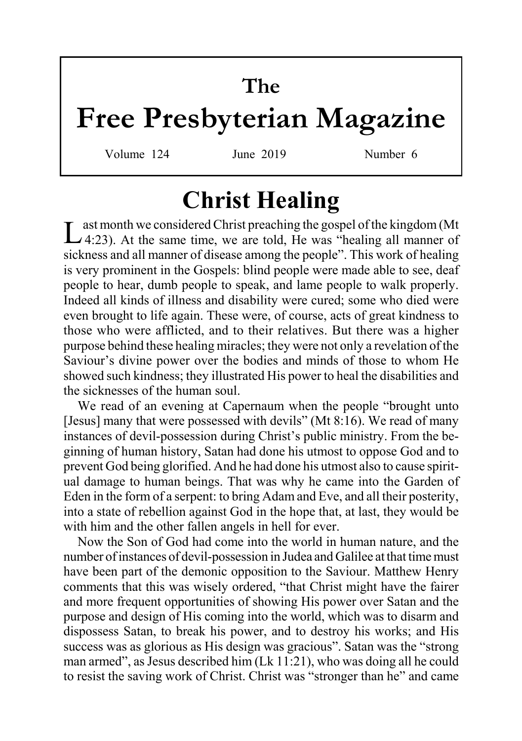# **The**

# **Free Presbyterian Magazine**

Volume 124 June 2019 Number 6

# **Christ Healing**

Last month we considered Christ preaching the gospel of the kingdom (Mt 4:23). At the same time, we are told, He was "healing all manner of sickness and all manner of disease among the people". This work of healing is very prominent in the Gospels: blind people were made able to see, deaf people to hear, dumb people to speak, and lame people to walk properly. Indeed all kinds of illness and disability were cured; some who died were even brought to life again. These were, of course, acts of great kindness to those who were afflicted, and to their relatives. But there was a higher purpose behind these healing miracles; they were not only a revelation of the Saviour's divine power over the bodies and minds of those to whom He showed such kindness; they illustrated His power to heal the disabilities and the sicknesses of the human soul.

We read of an evening at Capernaum when the people "brought unto [Jesus] many that were possessed with devils" (Mt 8:16). We read of many instances of devil-possession during Christ's public ministry. From the beginning of human history, Satan had done his utmost to oppose God and to prevent God being glorified. And he had done his utmost also to cause spiritual damage to human beings. That was why he came into the Garden of Eden in the form of a serpent: to bring Adam and Eve, and all their posterity, into a state of rebellion against God in the hope that, at last, they would be with him and the other fallen angels in hell for ever.

Now the Son of God had come into the world in human nature, and the number of instances of devil-possession in Judea and Galilee at that time must have been part of the demonic opposition to the Saviour. Matthew Henry comments that this was wisely ordered, "that Christ might have the fairer and more frequent opportunities of showing His power over Satan and the purpose and design of His coming into the world, which was to disarm and dispossess Satan, to break his power, and to destroy his works; and His success was as glorious as His design was gracious". Satan was the "strong man armed", as Jesus described him (Lk 11:21), who was doing all he could to resist the saving work of Christ. Christ was "stronger than he" and came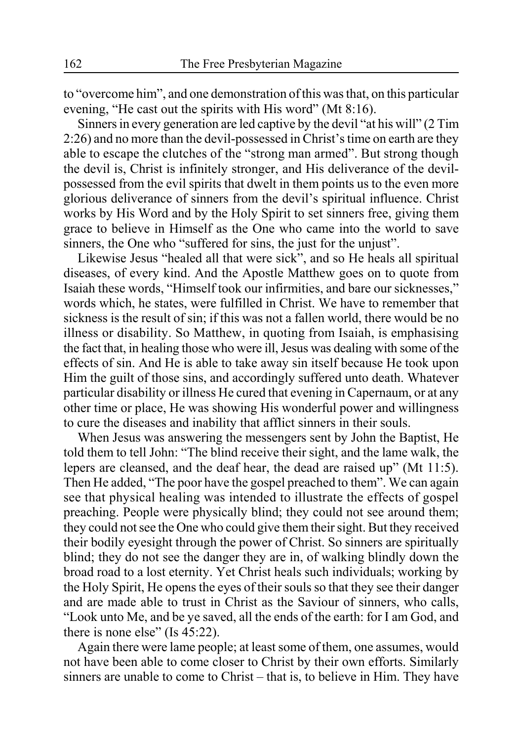to "overcome him", and one demonstration of this was that, on this particular evening, "He cast out the spirits with His word" (Mt 8:16).

Sinners in every generation are led captive by the devil "at his will" (2 Tim 2:26) and no more than the devil-possessed in Christ's time on earth are they able to escape the clutches of the "strong man armed". But strong though the devil is, Christ is infinitely stronger, and His deliverance of the devilpossessed from the evil spirits that dwelt in them points us to the even more glorious deliverance of sinners from the devil's spiritual influence. Christ works by His Word and by the Holy Spirit to set sinners free, giving them grace to believe in Himself as the One who came into the world to save sinners, the One who "suffered for sins, the just for the unjust".

Likewise Jesus "healed all that were sick", and so He heals all spiritual diseases, of every kind. And the Apostle Matthew goes on to quote from Isaiah these words, "Himself took our infirmities, and bare our sicknesses," words which, he states, were fulfilled in Christ. We have to remember that sickness is the result of sin; if this was not a fallen world, there would be no illness or disability. So Matthew, in quoting from Isaiah, is emphasising the fact that, in healing those who were ill, Jesus was dealing with some of the effects of sin. And He is able to take away sin itself because He took upon Him the guilt of those sins, and accordingly suffered unto death. Whatever particular disability or illness He cured that evening in Capernaum, or at any other time or place, He was showing His wonderful power and willingness to cure the diseases and inability that afflict sinners in their souls.

When Jesus was answering the messengers sent by John the Baptist, He told them to tell John: "The blind receive their sight, and the lame walk, the lepers are cleansed, and the deaf hear, the dead are raised up" (Mt 11:5). Then He added, "The poor have the gospel preached to them". We can again see that physical healing was intended to illustrate the effects of gospel preaching. People were physically blind; they could not see around them; they could not see the One who could give them their sight. But they received their bodily eyesight through the power of Christ. So sinners are spiritually blind; they do not see the danger they are in, of walking blindly down the broad road to a lost eternity. Yet Christ heals such individuals; working by the Holy Spirit, He opens the eyes of their souls so that they see their danger and are made able to trust in Christ as the Saviour of sinners, who calls, "Look unto Me, and be ye saved, all the ends of the earth: for I am God, and there is none else" (Is 45:22).

Again there were lame people; at least some of them, one assumes, would not have been able to come closer to Christ by their own efforts. Similarly sinners are unable to come to Christ – that is, to believe in Him. They have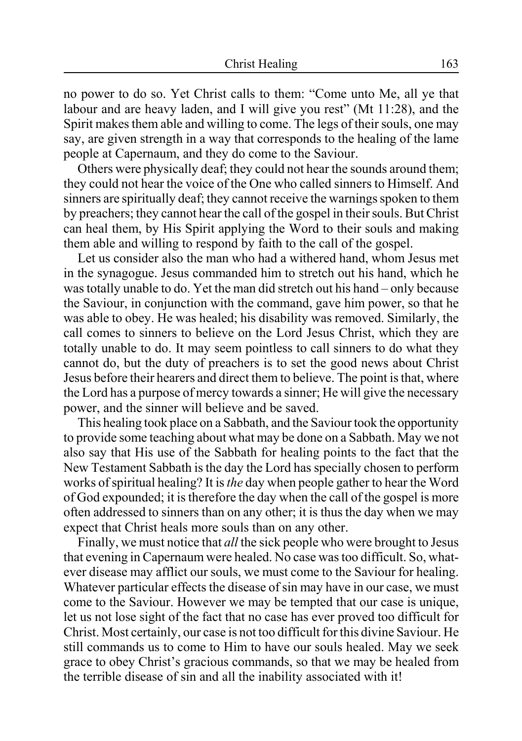no power to do so. Yet Christ calls to them: "Come unto Me, all ye that labour and are heavy laden, and I will give you rest" (Mt 11:28), and the Spirit makes them able and willing to come. The legs of their souls, one may say, are given strength in a way that corresponds to the healing of the lame people at Capernaum, and they do come to the Saviour.

Others were physically deaf; they could not hear the sounds around them; they could not hear the voice of the One who called sinners to Himself. And sinners are spiritually deaf; they cannot receive the warnings spoken to them by preachers; they cannot hear the call of the gospel in their souls. But Christ can heal them, by His Spirit applying the Word to their souls and making them able and willing to respond by faith to the call of the gospel.

Let us consider also the man who had a withered hand, whom Jesus met in the synagogue. Jesus commanded him to stretch out his hand, which he was totally unable to do. Yet the man did stretch out his hand – only because the Saviour, in conjunction with the command, gave him power, so that he was able to obey. He was healed; his disability was removed. Similarly, the call comes to sinners to believe on the Lord Jesus Christ, which they are totally unable to do. It may seem pointless to call sinners to do what they cannot do, but the duty of preachers is to set the good news about Christ Jesus before their hearers and direct them to believe. The point is that, where the Lord has a purpose of mercy towards a sinner; He will give the necessary power, and the sinner will believe and be saved.

This healing took place on a Sabbath, and the Saviour took the opportunity to provide some teaching about what may be done on a Sabbath. May we not also say that His use of the Sabbath for healing points to the fact that the New Testament Sabbath is the day the Lord has specially chosen to perform works of spiritual healing? It is *the* day when people gather to hear the Word of God expounded; it is therefore the day when the call of the gospel is more often addressed to sinners than on any other; it is thus the day when we may expect that Christ heals more souls than on any other.

Finally, we must notice that *all* the sick people who were brought to Jesus that evening in Capernaum were healed. No case was too difficult. So, whatever disease may afflict our souls, we must come to the Saviour for healing. Whatever particular effects the disease of sin may have in our case, we must come to the Saviour. However we may be tempted that our case is unique, let us not lose sight of the fact that no case has ever proved too difficult for Christ. Most certainly, our case is not too difficult for this divine Saviour. He still commands us to come to Him to have our souls healed. May we seek grace to obey Christ's gracious commands, so that we may be healed from the terrible disease of sin and all the inability associated with it!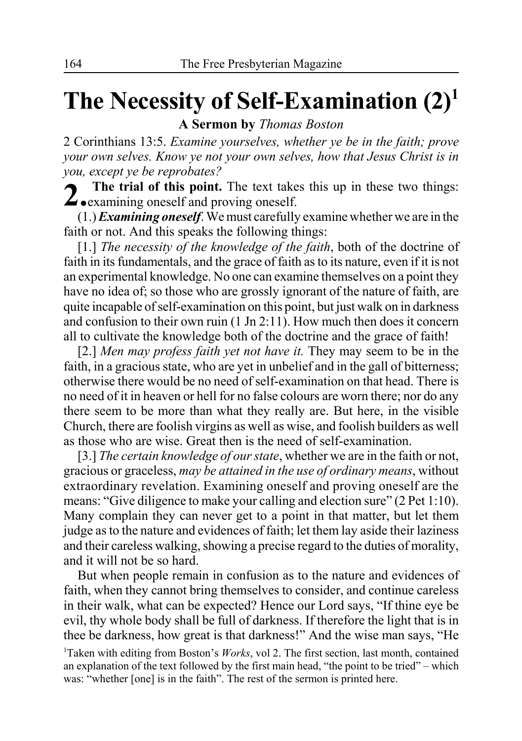# **The Necessity of Self-Examination (2)1**

**A Sermon by** *Thomas Boston*

2 Corinthians 13:5. *Examine yourselves, whether ye be in the faith; prove your own selves. Know ye not your own selves, how that Jesus Christ is in you, except ye be reprobates?*

**2. The trial of this point.** The text takes this up in these two things: **Z examining oneself and proving oneself.** 

(1.) *Examining oneself*. We must carefully examine whether we are in the faith or not. And this speaks the following things:

[1.] *The necessity of the knowledge of the faith*, both of the doctrine of faith in its fundamentals, and the grace of faith as to its nature, even if it is not an experimental knowledge. No one can examine themselves on a point they have no idea of; so those who are grossly ignorant of the nature of faith, are quite incapable of self-examination on this point, but just walk on in darkness and confusion to their own ruin (1 Jn 2:11). How much then does it concern all to cultivate the knowledge both of the doctrine and the grace of faith!

[2.] *Men may profess faith yet not have it.* They may seem to be in the faith, in a gracious state, who are yet in unbelief and in the gall of bitterness; otherwise there would be no need of self-examination on that head. There is no need of it in heaven or hell for no false colours are worn there; nor do any there seem to be more than what they really are. But here, in the visible Church, there are foolish virgins as well as wise, and foolish builders as well as those who are wise. Great then is the need of self-examination.

[3.] *The certain knowledge of our state*, whether we are in the faith or not, gracious or graceless, *may be attained in the use of ordinary means*, without extraordinary revelation. Examining oneself and proving oneself are the means: "Give diligence to make your calling and election sure" (2 Pet 1:10). Many complain they can never get to a point in that matter, but let them judge as to the nature and evidences of faith; let them lay aside their laziness and their careless walking, showing a precise regard to the duties of morality, and it will not be so hard.

But when people remain in confusion as to the nature and evidences of faith, when they cannot bring themselves to consider, and continue careless in their walk, what can be expected? Hence our Lord says, "If thine eye be evil, thy whole body shall be full of darkness. If therefore the light that is in thee be darkness, how great is that darkness!" And the wise man says, "He

<sup>&</sup>lt;sup>1</sup>Taken with editing from Boston's *Works*, vol 2. The first section, last month, contained an explanation of the text followed by the first main head, "the point to be tried" – which was: "whether [one] is in the faith". The rest of the sermon is printed here.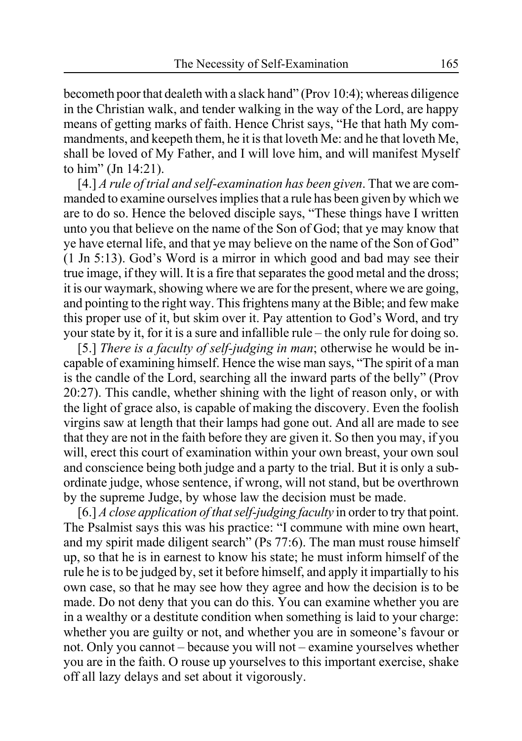becometh poor that dealeth with a slack hand" (Prov 10:4); whereas diligence in the Christian walk, and tender walking in the way of the Lord, are happy means of getting marks of faith. Hence Christ says, "He that hath My commandments, and keepeth them, he it is that loveth Me: and he that loveth Me, shall be loved of My Father, and I will love him, and will manifest Myself to him" (Jn 14:21).

[4.] *A rule of trial and self-examination has been given*. That we are commanded to examine ourselves implies that a rule has been given by which we are to do so. Hence the beloved disciple says, "These things have I written unto you that believe on the name of the Son of God; that ye may know that ye have eternal life, and that ye may believe on the name of the Son of God" (1 Jn 5:13). God's Word is a mirror in which good and bad may see their true image, if they will. It is a fire that separates the good metal and the dross; it is our waymark, showing where we are for the present, where we are going, and pointing to the right way. This frightens many at the Bible; and few make this proper use of it, but skim over it. Pay attention to God's Word, and try your state by it, for it is a sure and infallible rule – the only rule for doing so.

[5.] *There is a faculty of self-judging in man*; otherwise he would be incapable of examining himself. Hence the wise man says, "The spirit of a man is the candle of the Lord, searching all the inward parts of the belly" (Prov 20:27). This candle, whether shining with the light of reason only, or with the light of grace also, is capable of making the discovery. Even the foolish virgins saw at length that their lamps had gone out. And all are made to see that they are not in the faith before they are given it. So then you may, if you will, erect this court of examination within your own breast, your own soul and conscience being both judge and a party to the trial. But it is only a subordinate judge, whose sentence, if wrong, will not stand, but be overthrown by the supreme Judge, by whose law the decision must be made.

[6.] *A close application of that self-judging faculty* in order to try that point. The Psalmist says this was his practice: "I commune with mine own heart, and my spirit made diligent search" (Ps 77:6). The man must rouse himself up, so that he is in earnest to know his state; he must inform himself of the rule he is to be judged by, set it before himself, and apply it impartially to his own case, so that he may see how they agree and how the decision is to be made. Do not deny that you can do this. You can examine whether you are in a wealthy or a destitute condition when something is laid to your charge: whether you are guilty or not, and whether you are in someone's favour or not. Only you cannot – because you will not – examine yourselves whether you are in the faith. O rouse up yourselves to this important exercise, shake off all lazy delays and set about it vigorously.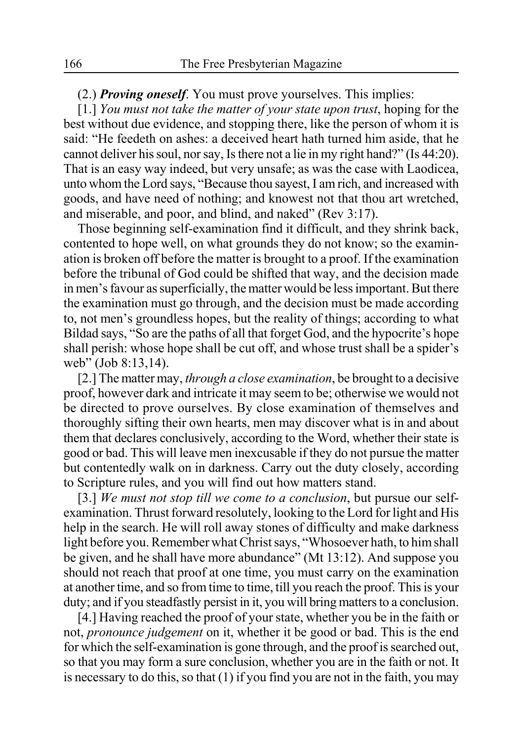#### (2.) *Proving oneself*. You must prove yourselves. This implies:

[1.] *You must not take the matter of your state upon trust*, hoping for the best without due evidence, and stopping there, like the person of whom it is said: "He feedeth on ashes: a deceived heart hath turned him aside, that he cannot deliver his soul, nor say, Is there not a lie in my right hand?" (Is 44:20). That is an easy way indeed, but very unsafe; as was the case with Laodicea, unto whom the Lord says, "Because thou sayest, I am rich, and increased with goods, and have need of nothing; and knowest not that thou art wretched, and miserable, and poor, and blind, and naked" (Rev 3:17).

Those beginning self-examination find it difficult, and they shrink back, contented to hope well, on what grounds they do not know; so the examination is broken off before the matter is brought to a proof. If the examination before the tribunal of God could be shifted that way, and the decision made in men's favour as superficially, the matter would be less important. But there the examination must go through, and the decision must be made according to, not men's groundless hopes, but the reality of things; according to what Bildad says, "So are the paths of all that forget God, and the hypocrite's hope shall perish: whose hope shall be cut off, and whose trust shall be a spider's web" (Job 8:13,14).

[2.] The matter may, *through a close examination*, be brought to a decisive proof, however dark and intricate it may seem to be; otherwise we would not be directed to prove ourselves. By close examination of themselves and thoroughly sifting their own hearts, men may discover what is in and about them that declares conclusively, according to the Word, whether their state is good or bad. This will leave men inexcusable if they do not pursue the matter but contentedly walk on in darkness. Carry out the duty closely, according to Scripture rules, and you will find out how matters stand.

[3.] *We must not stop till we come to a conclusion*, but pursue our selfexamination. Thrust forward resolutely, looking to the Lord for light and His help in the search. He will roll away stones of difficulty and make darkness light before you. Remember what Christ says, "Whosoever hath, to him shall be given, and he shall have more abundance" (Mt 13:12). And suppose you should not reach that proof at one time, you must carry on the examination at another time, and so from time to time, till you reach the proof. This is your duty; and if you steadfastly persist in it, you will bring matters to a conclusion.

[4.] Having reached the proof of your state, whether you be in the faith or not, *pronounce judgement* on it, whether it be good or bad. This is the end for which the self-examination is gone through, and the proof is searched out, so that you may form a sure conclusion, whether you are in the faith or not. It is necessary to do this, so that (1) if you find you are not in the faith, you may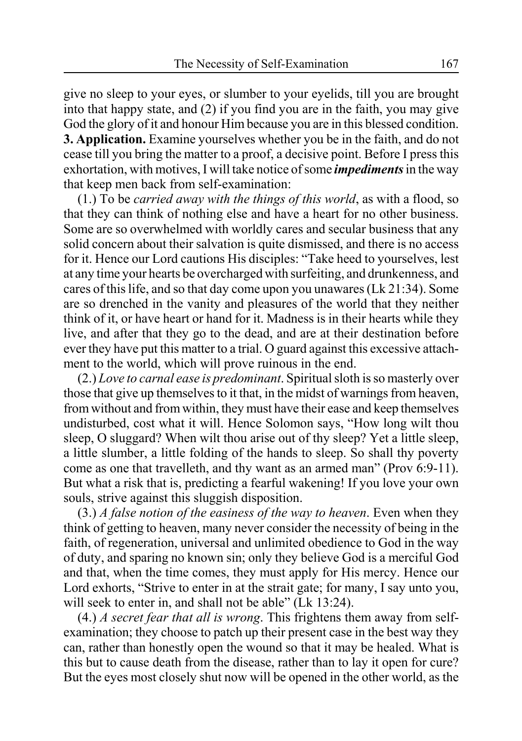give no sleep to your eyes, or slumber to your eyelids, till you are brought into that happy state, and (2) if you find you are in the faith, you may give God the glory of it and honour Him because you are in this blessed condition. **3. Application.** Examine yourselves whether you be in the faith, and do not cease till you bring the matter to a proof, a decisive point. Before I press this exhortation, with motives, I will take notice of some *impediments* in the way that keep men back from self-examination:

(1.) To be *carried away with the things of this world*, as with a flood, so that they can think of nothing else and have a heart for no other business. Some are so overwhelmed with worldly cares and secular business that any solid concern about their salvation is quite dismissed, and there is no access for it. Hence our Lord cautions His disciples: "Take heed to yourselves, lest at any time your hearts be overcharged with surfeiting, and drunkenness, and cares of this life, and so that day come upon you unawares (Lk 21:34). Some are so drenched in the vanity and pleasures of the world that they neither think of it, or have heart or hand for it. Madness is in their hearts while they live, and after that they go to the dead, and are at their destination before ever they have put this matter to a trial. O guard against this excessive attachment to the world, which will prove ruinous in the end.

(2.) *Love to carnal ease is predominant*. Spiritual sloth is so masterly over those that give up themselves to it that, in the midst of warnings from heaven, from without and from within, they must have their ease and keep themselves undisturbed, cost what it will. Hence Solomon says, "How long wilt thou sleep, O sluggard? When wilt thou arise out of thy sleep? Yet a little sleep, a little slumber, a little folding of the hands to sleep. So shall thy poverty come as one that travelleth, and thy want as an armed man" (Prov 6:9-11). But what a risk that is, predicting a fearful wakening! If you love your own souls, strive against this sluggish disposition.

(3.) *A false notion of the easiness of the way to heaven*. Even when they think of getting to heaven, many never consider the necessity of being in the faith, of regeneration, universal and unlimited obedience to God in the way of duty, and sparing no known sin; only they believe God is a merciful God and that, when the time comes, they must apply for His mercy. Hence our Lord exhorts, "Strive to enter in at the strait gate; for many, I say unto you, will seek to enter in, and shall not be able" (Lk 13:24).

(4.) *A secret fear that all is wrong*. This frightens them away from selfexamination; they choose to patch up their present case in the best way they can, rather than honestly open the wound so that it may be healed. What is this but to cause death from the disease, rather than to lay it open for cure? But the eyes most closely shut now will be opened in the other world, as the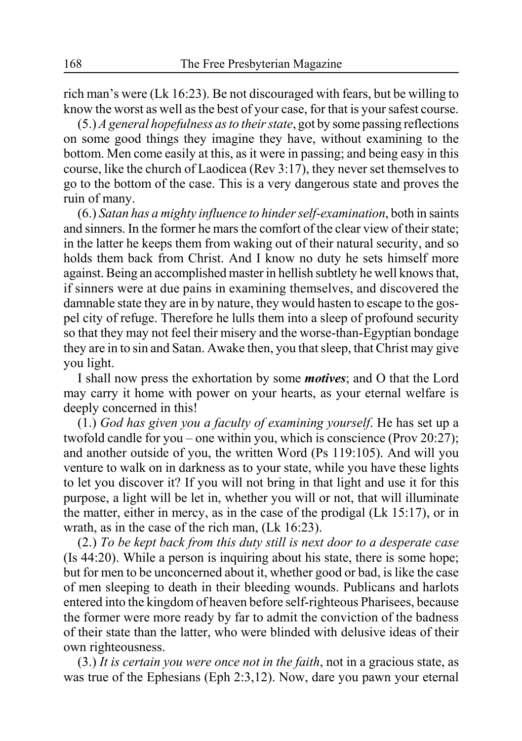rich man's were (Lk 16:23). Be not discouraged with fears, but be willing to know the worst as well as the best of your case, for that is your safest course.

(5.) *A general hopefulness as to their state*, got by some passing reflections on some good things they imagine they have, without examining to the bottom. Men come easily at this, as it were in passing; and being easy in this course, like the church of Laodicea (Rev 3:17), they never set themselves to go to the bottom of the case. This is a very dangerous state and proves the ruin of many.

(6.) *Satan has a mighty influence to hinder self-examination*, both in saints and sinners. In the former he mars the comfort of the clear view of their state; in the latter he keeps them from waking out of their natural security, and so holds them back from Christ. And I know no duty he sets himself more against. Being an accomplished master in hellish subtlety he well knows that, if sinners were at due pains in examining themselves, and discovered the damnable state they are in by nature, they would hasten to escape to the gospel city of refuge. Therefore he lulls them into a sleep of profound security so that they may not feel their misery and the worse-than-Egyptian bondage they are in to sin and Satan. Awake then, you that sleep, that Christ may give you light.

I shall now press the exhortation by some *motives*; and O that the Lord may carry it home with power on your hearts, as your eternal welfare is deeply concerned in this!

(1.) *God has given you a faculty of examining yourself*. He has set up a twofold candle for you – one within you, which is conscience (Prov 20:27); and another outside of you, the written Word (Ps 119:105). And will you venture to walk on in darkness as to your state, while you have these lights to let you discover it? If you will not bring in that light and use it for this purpose, a light will be let in, whether you will or not, that will illuminate the matter, either in mercy, as in the case of the prodigal (Lk 15:17), or in wrath, as in the case of the rich man, (Lk 16:23).

(2.) *To be kept back from this duty still is next door to a desperate case* (Is 44:20). While a person is inquiring about his state, there is some hope; but for men to be unconcerned about it, whether good or bad, is like the case of men sleeping to death in their bleeding wounds. Publicans and harlots entered into the kingdom of heaven before self-righteous Pharisees, because the former were more ready by far to admit the conviction of the badness of their state than the latter, who were blinded with delusive ideas of their own righteousness.

(3.) *It is certain you were once not in the faith*, not in a gracious state, as was true of the Ephesians (Eph 2:3,12). Now, dare you pawn your eternal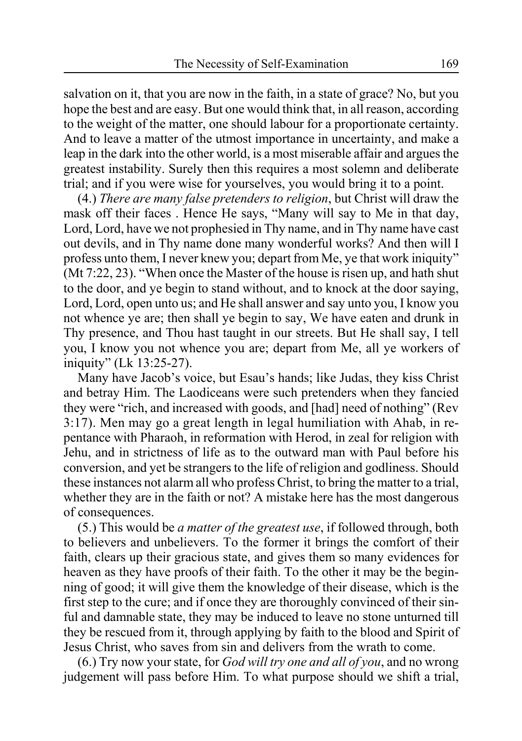salvation on it, that you are now in the faith, in a state of grace? No, but you hope the best and are easy. But one would think that, in all reason, according to the weight of the matter, one should labour for a proportionate certainty. And to leave a matter of the utmost importance in uncertainty, and make a leap in the dark into the other world, is a most miserable affair and argues the greatest instability. Surely then this requires a most solemn and deliberate trial; and if you were wise for yourselves, you would bring it to a point.

(4.) *There are many false pretenders to religion*, but Christ will draw the mask off their faces . Hence He says, "Many will say to Me in that day, Lord, Lord, have we not prophesied in Thy name, and in Thy name have cast out devils, and in Thy name done many wonderful works? And then will I profess unto them, I never knew you; depart from Me, ye that work iniquity" (Mt 7:22, 23). "When once the Master of the house is risen up, and hath shut to the door, and ye begin to stand without, and to knock at the door saying, Lord, Lord, open unto us; and He shall answer and say unto you, I know you not whence ye are; then shall ye begin to say, We have eaten and drunk in Thy presence, and Thou hast taught in our streets. But He shall say, I tell you, I know you not whence you are; depart from Me, all ye workers of iniquity" (Lk 13:25-27).

Many have Jacob's voice, but Esau's hands; like Judas, they kiss Christ and betray Him. The Laodiceans were such pretenders when they fancied they were "rich, and increased with goods, and [had] need of nothing" (Rev 3:17). Men may go a great length in legal humiliation with Ahab, in repentance with Pharaoh, in reformation with Herod, in zeal for religion with Jehu, and in strictness of life as to the outward man with Paul before his conversion, and yet be strangers to the life of religion and godliness. Should these instances not alarm all who profess Christ, to bring the matter to a trial, whether they are in the faith or not? A mistake here has the most dangerous of consequences.

(5.) This would be *a matter of the greatest use*, if followed through, both to believers and unbelievers. To the former it brings the comfort of their faith, clears up their gracious state, and gives them so many evidences for heaven as they have proofs of their faith. To the other it may be the beginning of good; it will give them the knowledge of their disease, which is the first step to the cure; and if once they are thoroughly convinced of their sinful and damnable state, they may be induced to leave no stone unturned till they be rescued from it, through applying by faith to the blood and Spirit of Jesus Christ, who saves from sin and delivers from the wrath to come.

(6.) Try now your state, for *God will try one and all of you*, and no wrong judgement will pass before Him. To what purpose should we shift a trial,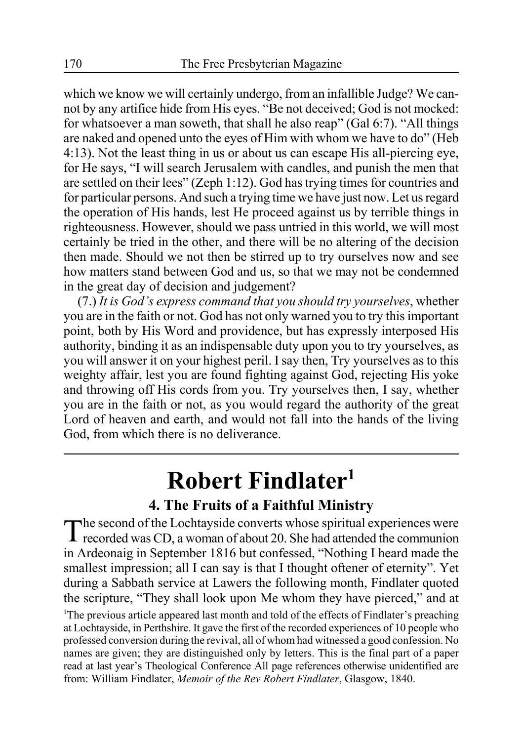which we know we will certainly undergo, from an infallible Judge? We cannot by any artifice hide from His eyes. "Be not deceived; God is not mocked: for whatsoever a man soweth, that shall he also reap" (Gal 6:7). "All things are naked and opened unto the eyes of Him with whom we have to do" (Heb 4:13). Not the least thing in us or about us can escape His all-piercing eye, for He says, "I will search Jerusalem with candles, and punish the men that are settled on their lees" (Zeph 1:12). God has trying times for countries and for particular persons. And such a trying time we have just now. Let us regard the operation of His hands, lest He proceed against us by terrible things in righteousness. However, should we pass untried in this world, we will most certainly be tried in the other, and there will be no altering of the decision then made. Should we not then be stirred up to try ourselves now and see how matters stand between God and us, so that we may not be condemned in the great day of decision and judgement?

(7.) *It is God's express command that you should try yourselves*, whether you are in the faith or not. God has not only warned you to try this important point, both by His Word and providence, but has expressly interposed His authority, binding it as an indispensable duty upon you to try yourselves, as you will answer it on your highest peril. I say then, Try yourselves as to this weighty affair, lest you are found fighting against God, rejecting His yoke and throwing off His cords from you. Try yourselves then, I say, whether you are in the faith or not, as you would regard the authority of the great Lord of heaven and earth, and would not fall into the hands of the living God, from which there is no deliverance.

# **Robert Findlater1**

### **4. The Fruits of a Faithful Ministry**

The second of the Lochtayside converts whose spiritual experiences were<br>recorded was CD, a woman of about 20. She had attended the communion in Ardeonaig in September 1816 but confessed, "Nothing I heard made the smallest impression; all I can say is that I thought oftener of eternity". Yet during a Sabbath service at Lawers the following month, Findlater quoted the scripture, "They shall look upon Me whom they have pierced," and at <sup>1</sup>The previous article appeared last month and told of the effects of Findlater's preaching at Lochtayside, in Perthshire. It gave the first of the recorded experiences of 10 people who professed conversion during the revival, all of whom had witnessed a good confession. No names are given; they are distinguished only by letters. This is the final part of a paper read at last year's Theological Conference All page references otherwise unidentified are from: William Findlater, *Memoir of the Rev Robert Findlater*, Glasgow, 1840.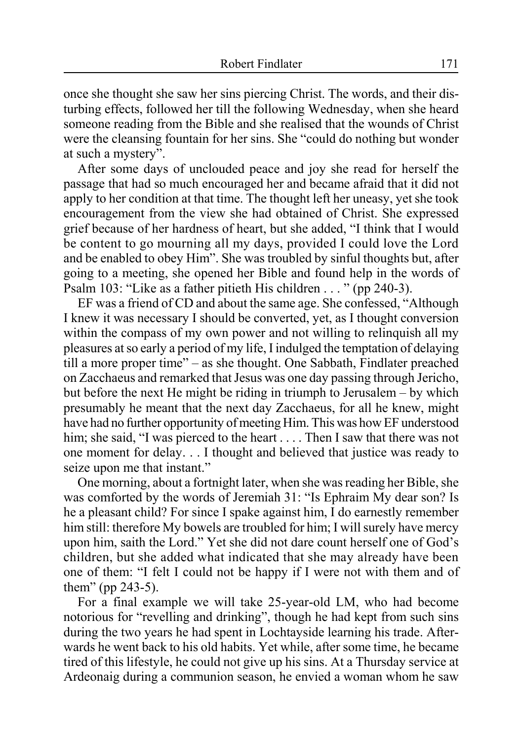once she thought she saw her sins piercing Christ. The words, and their disturbing effects, followed her till the following Wednesday, when she heard someone reading from the Bible and she realised that the wounds of Christ were the cleansing fountain for her sins. She "could do nothing but wonder at such a mystery".

After some days of unclouded peace and joy she read for herself the passage that had so much encouraged her and became afraid that it did not apply to her condition at that time. The thought left her uneasy, yet she took encouragement from the view she had obtained of Christ. She expressed grief because of her hardness of heart, but she added, "I think that I would be content to go mourning all my days, provided I could love the Lord and be enabled to obey Him". She was troubled by sinful thoughts but, after going to a meeting, she opened her Bible and found help in the words of Psalm 103: "Like as a father pitieth His children . . . " (pp 240-3).

EF was a friend of CD and about the same age. She confessed, "Although I knew it was necessary I should be converted, yet, as I thought conversion within the compass of my own power and not willing to relinquish all my pleasures at so early a period of my life, I indulged the temptation of delaying till a more proper time" – as she thought. One Sabbath, Findlater preached on Zacchaeus and remarked that Jesus was one day passing through Jericho, but before the next He might be riding in triumph to Jerusalem – by which presumably he meant that the next day Zacchaeus, for all he knew, might have had no further opportunity of meeting Him. This was how EF understood him; she said, "I was pierced to the heart . . . . Then I saw that there was not one moment for delay. . . I thought and believed that justice was ready to seize upon me that instant."

One morning, about a fortnight later, when she was reading her Bible, she was comforted by the words of Jeremiah 31: "Is Ephraim My dear son? Is he a pleasant child? For since I spake against him, I do earnestly remember him still: therefore My bowels are troubled for him; I will surely have mercy upon him, saith the Lord." Yet she did not dare count herself one of God's children, but she added what indicated that she may already have been one of them: "I felt I could not be happy if I were not with them and of them" (pp 243-5).

For a final example we will take 25-year-old LM, who had become notorious for "revelling and drinking", though he had kept from such sins during the two years he had spent in Lochtayside learning his trade. Afterwards he went back to his old habits. Yet while, after some time, he became tired of this lifestyle, he could not give up his sins. At a Thursday service at Ardeonaig during a communion season, he envied a woman whom he saw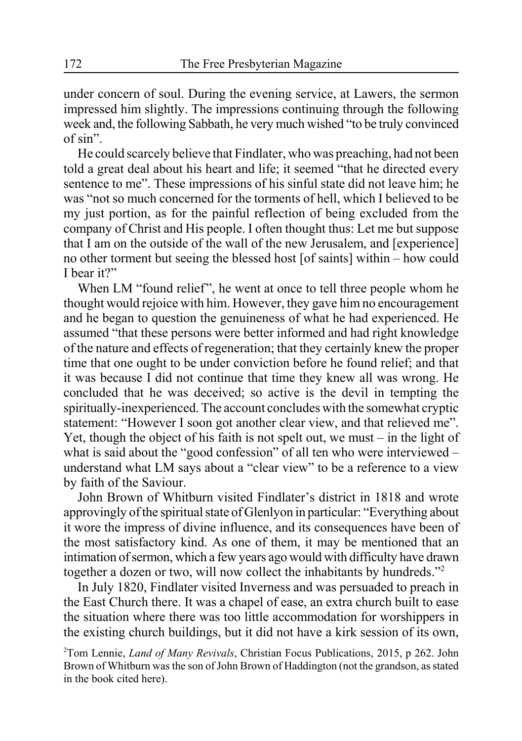under concern of soul. During the evening service, at Lawers, the sermon impressed him slightly. The impressions continuing through the following week and, the following Sabbath, he very much wished "to be truly convinced of sin".

He could scarcely believe that Findlater, who was preaching, had not been told a great deal about his heart and life; it seemed "that he directed every sentence to me". These impressions of his sinful state did not leave him; he was "not so much concerned for the torments of hell, which I believed to be my just portion, as for the painful reflection of being excluded from the company of Christ and His people. I often thought thus: Let me but suppose that I am on the outside of the wall of the new Jerusalem, and [experience] no other torment but seeing the blessed host [of saints] within – how could I hear it?"

When LM "found relief", he went at once to tell three people whom he thought would rejoice with him. However, they gave him no encouragement and he began to question the genuineness of what he had experienced. He assumed "that these persons were better informed and had right knowledge of the nature and effects of regeneration; that they certainly knew the proper time that one ought to be under conviction before he found relief; and that it was because I did not continue that time they knew all was wrong. He concluded that he was deceived; so active is the devil in tempting the spiritually-inexperienced. The account concludes with the somewhat cryptic statement: "However I soon got another clear view, and that relieved me". Yet, though the object of his faith is not spelt out, we must – in the light of what is said about the "good confession" of all ten who were interviewed – understand what LM says about a "clear view" to be a reference to a view by faith of the Saviour.

John Brown of Whitburn visited Findlater's district in 1818 and wrote approvingly of the spiritual state of Glenlyon in particular: "Everything about it wore the impress of divine influence, and its consequences have been of the most satisfactory kind. As one of them, it may be mentioned that an intimation of sermon, which a few years ago would with difficulty have drawn together a dozen or two, will now collect the inhabitants by hundreds."2

In July 1820, Findlater visited Inverness and was persuaded to preach in the East Church there. It was a chapel of ease, an extra church built to ease the situation where there was too little accommodation for worshippers in the existing church buildings, but it did not have a kirk session of its own,

2 Tom Lennie, *Land of Many Revivals*, Christian Focus Publications, 2015, p 262. John Brown of Whitburn was the son of John Brown of Haddington (not the grandson, as stated in the book cited here).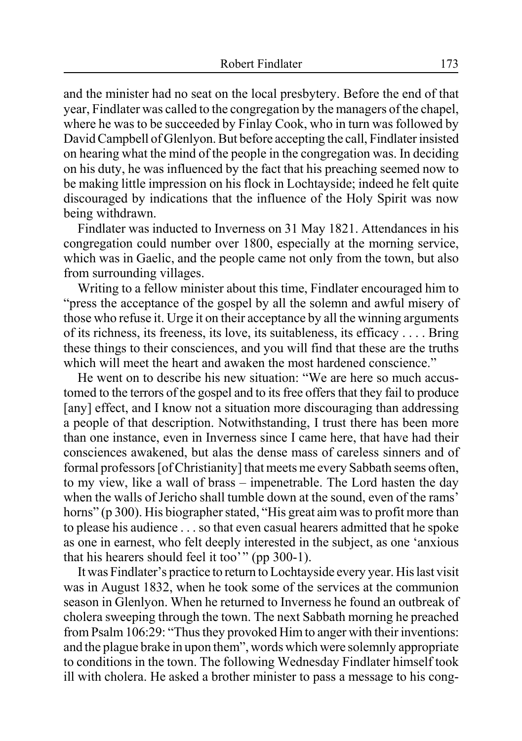and the minister had no seat on the local presbytery. Before the end of that year, Findlater was called to the congregation by the managers of the chapel, where he was to be succeeded by Finlay Cook, who in turn was followed by David Campbell of Glenlyon. But before accepting the call, Findlater insisted on hearing what the mind of the people in the congregation was. In deciding on his duty, he was influenced by the fact that his preaching seemed now to be making little impression on his flock in Lochtayside; indeed he felt quite discouraged by indications that the influence of the Holy Spirit was now being withdrawn.

Findlater was inducted to Inverness on 31 May 1821. Attendances in his congregation could number over 1800, especially at the morning service, which was in Gaelic, and the people came not only from the town, but also from surrounding villages.

Writing to a fellow minister about this time, Findlater encouraged him to "press the acceptance of the gospel by all the solemn and awful misery of those who refuse it. Urge it on their acceptance by all the winning arguments of its richness, its freeness, its love, its suitableness, its efficacy . . . . Bring these things to their consciences, and you will find that these are the truths which will meet the heart and awaken the most hardened conscience."

He went on to describe his new situation: "We are here so much accustomed to the terrors of the gospel and to its free offers that they fail to produce [any] effect, and I know not a situation more discouraging than addressing a people of that description. Notwithstanding, I trust there has been more than one instance, even in Inverness since I came here, that have had their consciences awakened, but alas the dense mass of careless sinners and of formal professors [of Christianity] that meets me every Sabbath seems often, to my view, like a wall of brass – impenetrable. The Lord hasten the day when the walls of Jericho shall tumble down at the sound, even of the rams' horns" (p 300). His biographer stated, "His great aim was to profit more than to please his audience . . . so that even casual hearers admitted that he spoke as one in earnest, who felt deeply interested in the subject, as one 'anxious that his hearers should feel it too'" (pp 300-1).

It was Findlater's practice to return to Lochtayside every year. His last visit was in August 1832, when he took some of the services at the communion season in Glenlyon. When he returned to Inverness he found an outbreak of cholera sweeping through the town. The next Sabbath morning he preached from Psalm 106:29: "Thus they provoked Him to anger with their inventions: and the plague brake in upon them", words which were solemnly appropriate to conditions in the town. The following Wednesday Findlater himself took ill with cholera. He asked a brother minister to pass a message to his cong-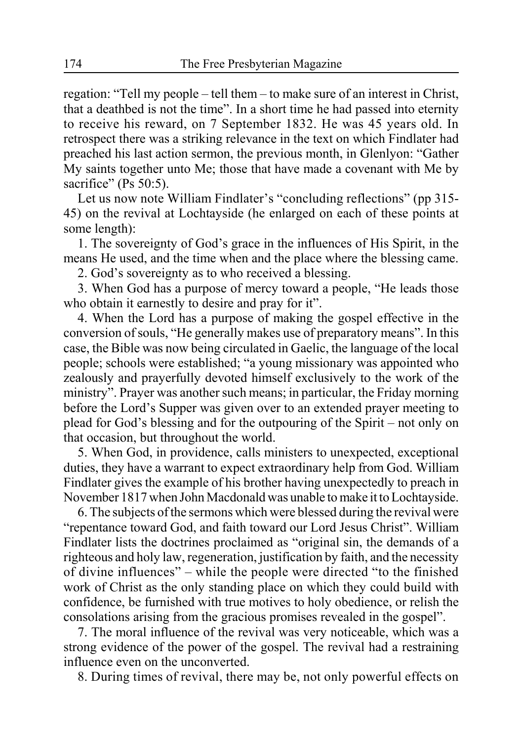regation: "Tell my people – tell them – to make sure of an interest in Christ, that a deathbed is not the time". In a short time he had passed into eternity to receive his reward, on 7 September 1832. He was 45 years old. In retrospect there was a striking relevance in the text on which Findlater had preached his last action sermon, the previous month, in Glenlyon: "Gather My saints together unto Me; those that have made a covenant with Me by sacrifice" (Ps 50:5).

Let us now note William Findlater's "concluding reflections" (pp 315-45) on the revival at Lochtayside (he enlarged on each of these points at some length):

1. The sovereignty of God's grace in the influences of His Spirit, in the means He used, and the time when and the place where the blessing came.

2. God's sovereignty as to who received a blessing.

3. When God has a purpose of mercy toward a people, "He leads those who obtain it earnestly to desire and pray for it".

4. When the Lord has a purpose of making the gospel effective in the conversion of souls, "He generally makes use of preparatory means". In this case, the Bible was now being circulated in Gaelic, the language of the local people; schools were established; "a young missionary was appointed who zealously and prayerfully devoted himself exclusively to the work of the ministry". Prayer was another such means; in particular, the Friday morning before the Lord's Supper was given over to an extended prayer meeting to plead for God's blessing and for the outpouring of the Spirit – not only on that occasion, but throughout the world.

5. When God, in providence, calls ministers to unexpected, exceptional duties, they have a warrant to expect extraordinary help from God. William Findlater gives the example of his brother having unexpectedly to preach in November 1817 when John Macdonald was unable to make it to Lochtayside.

6. The subjects of the sermons which were blessed during the revival were "repentance toward God, and faith toward our Lord Jesus Christ". William Findlater lists the doctrines proclaimed as "original sin, the demands of a righteous and holy law, regeneration, justification by faith, and the necessity of divine influences" – while the people were directed "to the finished work of Christ as the only standing place on which they could build with confidence, be furnished with true motives to holy obedience, or relish the consolations arising from the gracious promises revealed in the gospel".

7. The moral influence of the revival was very noticeable, which was a strong evidence of the power of the gospel. The revival had a restraining influence even on the unconverted.

8. During times of revival, there may be, not only powerful effects on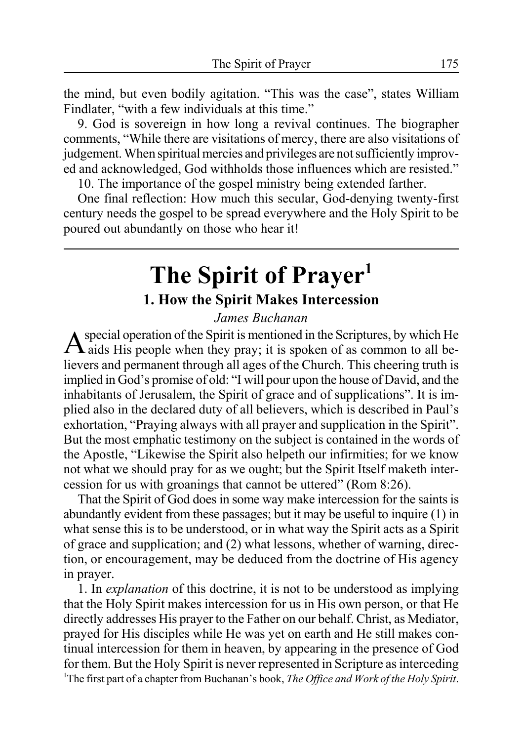the mind, but even bodily agitation. "This was the case", states William Findlater, "with a few individuals at this time."

9. God is sovereign in how long a revival continues. The biographer comments, "While there are visitations of mercy, there are also visitations of judgement. When spiritual mercies and privileges are not sufficiently improved and acknowledged, God withholds those influences which are resisted."

10. The importance of the gospel ministry being extended farther.

One final reflection: How much this secular, God-denying twenty-first century needs the gospel to be spread everywhere and the Holy Spirit to be poured out abundantly on those who hear it!

### **The Spirit of Prayer1 1. How the Spirit Makes Intercession**

#### *James Buchanan*

 $A$  special operation of the Spirit is mentioned in the Scriptures, by which He aids His people when they pray; it is spoken of as common to all believers and permanent through all ages of the Church. This cheering truth is implied in God's promise of old: "I will pour upon the house of David, and the inhabitants of Jerusalem, the Spirit of grace and of supplications". It is implied also in the declared duty of all believers, which is described in Paul's exhortation, "Praying always with all prayer and supplication in the Spirit". But the most emphatic testimony on the subject is contained in the words of the Apostle, "Likewise the Spirit also helpeth our infirmities; for we know not what we should pray for as we ought; but the Spirit Itself maketh intercession for us with groanings that cannot be uttered" (Rom 8:26).

That the Spirit of God does in some way make intercession for the saints is abundantly evident from these passages; but it may be useful to inquire (1) in what sense this is to be understood, or in what way the Spirit acts as a Spirit of grace and supplication; and (2) what lessons, whether of warning, direction, or encouragement, may be deduced from the doctrine of His agency in prayer.

1. In *explanation* of this doctrine, it is not to be understood as implying that the Holy Spirit makes intercession for us in His own person, or that He directly addresses His prayer to the Father on our behalf. Christ, as Mediator, prayed for His disciples while He was yet on earth and He still makes continual intercession for them in heaven, by appearing in the presence of God for them. But the Holy Spirit is never represented in Scripture as interceding 1 The first part of a chapter from Buchanan's book, *The Office and Work of the Holy Spirit*.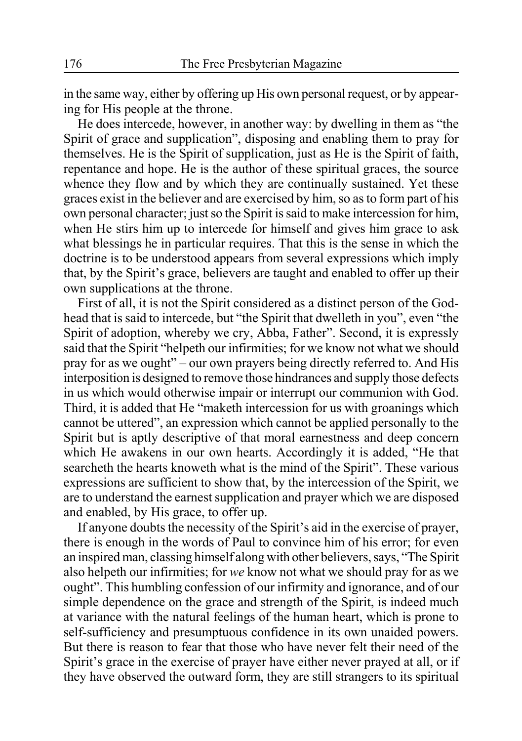in the same way, either by offering up His own personal request, or by appearing for His people at the throne.

He does intercede, however, in another way: by dwelling in them as "the Spirit of grace and supplication", disposing and enabling them to pray for themselves. He is the Spirit of supplication, just as He is the Spirit of faith, repentance and hope. He is the author of these spiritual graces, the source whence they flow and by which they are continually sustained. Yet these graces exist in the believer and are exercised by him, so as to form part of his own personal character; just so the Spirit is said to make intercession for him, when He stirs him up to intercede for himself and gives him grace to ask what blessings he in particular requires. That this is the sense in which the doctrine is to be understood appears from several expressions which imply that, by the Spirit's grace, believers are taught and enabled to offer up their own supplications at the throne.

First of all, it is not the Spirit considered as a distinct person of the Godhead that is said to intercede, but "the Spirit that dwelleth in you", even "the Spirit of adoption, whereby we cry, Abba, Father". Second, it is expressly said that the Spirit "helpeth our infirmities; for we know not what we should pray for as we ought" – our own prayers being directly referred to. And His interposition is designed to remove those hindrances and supply those defects in us which would otherwise impair or interrupt our communion with God. Third, it is added that He "maketh intercession for us with groanings which cannot be uttered", an expression which cannot be applied personally to the Spirit but is aptly descriptive of that moral earnestness and deep concern which He awakens in our own hearts. Accordingly it is added, "He that searcheth the hearts knoweth what is the mind of the Spirit". These various expressions are sufficient to show that, by the intercession of the Spirit, we are to understand the earnest supplication and prayer which we are disposed and enabled, by His grace, to offer up.

If anyone doubts the necessity of the Spirit's aid in the exercise of prayer, there is enough in the words of Paul to convince him of his error; for even an inspired man, classing himself along with other believers, says, "The Spirit also helpeth our infirmities; for *we* know not what we should pray for as we ought". This humbling confession of our infirmity and ignorance, and of our simple dependence on the grace and strength of the Spirit, is indeed much at variance with the natural feelings of the human heart, which is prone to self-sufficiency and presumptuous confidence in its own unaided powers. But there is reason to fear that those who have never felt their need of the Spirit's grace in the exercise of prayer have either never prayed at all, or if they have observed the outward form, they are still strangers to its spiritual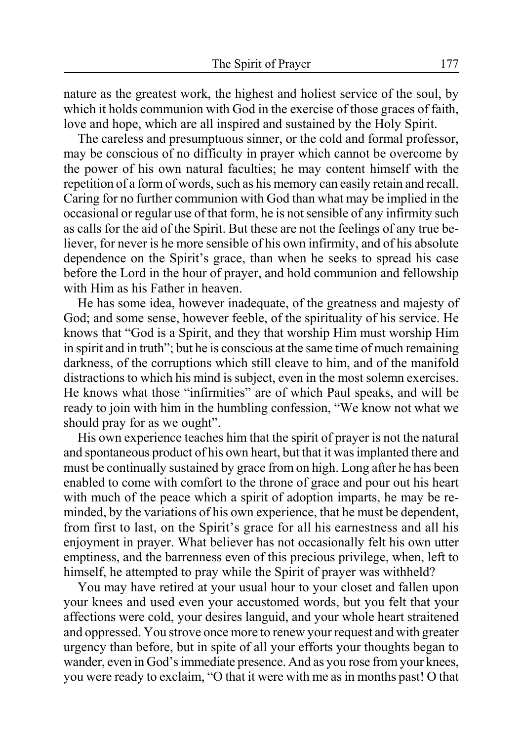nature as the greatest work, the highest and holiest service of the soul, by which it holds communion with God in the exercise of those graces of faith, love and hope, which are all inspired and sustained by the Holy Spirit.

The careless and presumptuous sinner, or the cold and formal professor, may be conscious of no difficulty in prayer which cannot be overcome by the power of his own natural faculties; he may content himself with the repetition of a form of words, such as his memory can easily retain and recall. Caring for no further communion with God than what may be implied in the occasional or regular use of that form, he is not sensible of any infirmity such as calls for the aid of the Spirit. But these are not the feelings of any true believer, for never is he more sensible of his own infirmity, and of his absolute dependence on the Spirit's grace, than when he seeks to spread his case before the Lord in the hour of prayer, and hold communion and fellowship with Him as his Father in heaven.

He has some idea, however inadequate, of the greatness and majesty of God; and some sense, however feeble, of the spirituality of his service. He knows that "God is a Spirit, and they that worship Him must worship Him in spirit and in truth"; but he is conscious at the same time of much remaining darkness, of the corruptions which still cleave to him, and of the manifold distractions to which his mind is subject, even in the most solemn exercises. He knows what those "infirmities" are of which Paul speaks, and will be ready to join with him in the humbling confession, "We know not what we should pray for as we ought".

His own experience teaches him that the spirit of prayer is not the natural and spontaneous product of his own heart, but that it was implanted there and must be continually sustained by grace from on high. Long after he has been enabled to come with comfort to the throne of grace and pour out his heart with much of the peace which a spirit of adoption imparts, he may be reminded, by the variations of his own experience, that he must be dependent, from first to last, on the Spirit's grace for all his earnestness and all his enjoyment in prayer. What believer has not occasionally felt his own utter emptiness, and the barrenness even of this precious privilege, when, left to himself, he attempted to pray while the Spirit of prayer was withheld?

You may have retired at your usual hour to your closet and fallen upon your knees and used even your accustomed words, but you felt that your affections were cold, your desires languid, and your whole heart straitened and oppressed. You strove once more to renew your request and with greater urgency than before, but in spite of all your efforts your thoughts began to wander, even in God's immediate presence. And as you rose from your knees, you were ready to exclaim, "O that it were with me as in months past! O that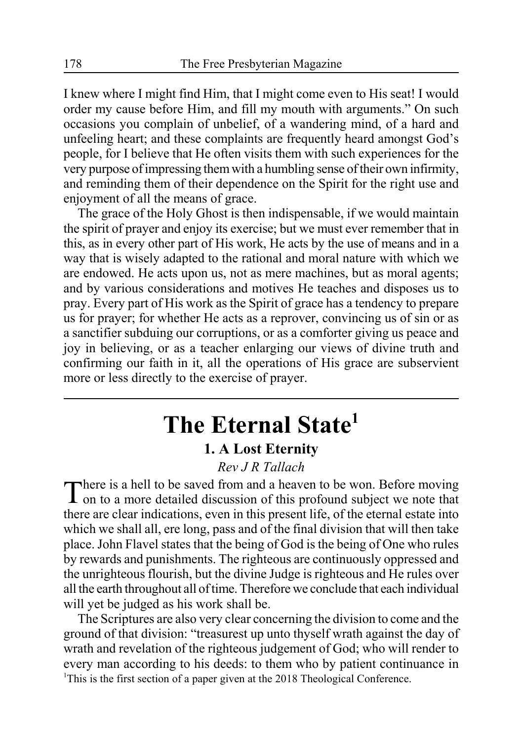I knew where I might find Him, that I might come even to His seat! I would order my cause before Him, and fill my mouth with arguments." On such occasions you complain of unbelief, of a wandering mind, of a hard and unfeeling heart; and these complaints are frequently heard amongst God's people, for I believe that He often visits them with such experiences for the very purpose of impressing them with a humbling sense of their own infirmity, and reminding them of their dependence on the Spirit for the right use and enjoyment of all the means of grace.

The grace of the Holy Ghost is then indispensable, if we would maintain the spirit of prayer and enjoy its exercise; but we must ever remember that in this, as in every other part of His work, He acts by the use of means and in a way that is wisely adapted to the rational and moral nature with which we are endowed. He acts upon us, not as mere machines, but as moral agents; and by various considerations and motives He teaches and disposes us to pray. Every part of His work as the Spirit of grace has a tendency to prepare us for prayer; for whether He acts as a reprover, convincing us of sin or as a sanctifier subduing our corruptions, or as a comforter giving us peace and joy in believing, or as a teacher enlarging our views of divine truth and confirming our faith in it, all the operations of His grace are subservient more or less directly to the exercise of prayer.

## **The Eternal State1 1. A Lost Eternity**

#### *Rev J R Tallach*

There is a hell to be saved from and a heaven to be won. Before moving on to a more detailed discussion of this profound subject we note that there are clear indications, even in this present life, of the eternal estate into which we shall all, ere long, pass and of the final division that will then take place. John Flavel states that the being of God is the being of One who rules by rewards and punishments. The righteous are continuously oppressed and the unrighteous flourish, but the divine Judge is righteous and He rules over all the earth throughout all of time. Therefore we conclude that each individual will yet be judged as his work shall be.

The Scriptures are also very clear concerning the division to come and the ground of that division: "treasurest up unto thyself wrath against the day of wrath and revelation of the righteous judgement of God; who will render to every man according to his deeds: to them who by patient continuance in <sup>1</sup>This is the first section of a paper given at the 2018 Theological Conference.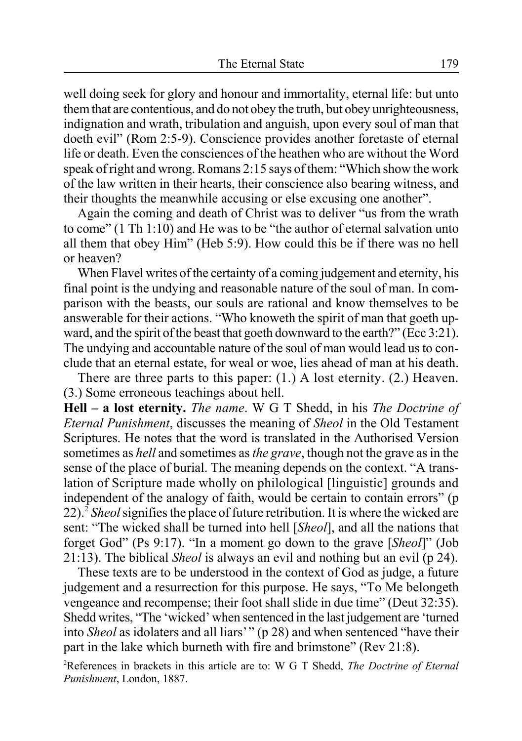well doing seek for glory and honour and immortality, eternal life: but unto them that are contentious, and do not obey the truth, but obey unrighteousness, indignation and wrath, tribulation and anguish, upon every soul of man that doeth evil" (Rom 2:5-9). Conscience provides another foretaste of eternal life or death. Even the consciences of the heathen who are without the Word speak of right and wrong. Romans 2:15 says of them: "Which show the work of the law written in their hearts, their conscience also bearing witness, and their thoughts the meanwhile accusing or else excusing one another".

Again the coming and death of Christ was to deliver "us from the wrath to come" (1 Th 1:10) and He was to be "the author of eternal salvation unto all them that obey Him" (Heb 5:9). How could this be if there was no hell or heaven?

When Flavel writes of the certainty of a coming judgement and eternity, his final point is the undying and reasonable nature of the soul of man. In comparison with the beasts, our souls are rational and know themselves to be answerable for their actions. "Who knoweth the spirit of man that goeth upward, and the spirit of the beast that goeth downward to the earth?" (Ecc 3:21). The undying and accountable nature of the soul of man would lead us to conclude that an eternal estate, for weal or woe, lies ahead of man at his death.

There are three parts to this paper: (1.) A lost eternity. (2.) Heaven. (3.) Some erroneous teachings about hell.

**Hell – a lost eternity.** *The name*. W G T Shedd, in his *The Doctrine of Eternal Punishment*, discusses the meaning of *Sheol* in the Old Testament Scriptures. He notes that the word is translated in the Authorised Version sometimes as *hell* and sometimes as *the grave*, though not the grave as in the sense of the place of burial. The meaning depends on the context. "A translation of Scripture made wholly on philological [linguistic] grounds and independent of the analogy of faith, would be certain to contain errors" (p 22).2 *Sheol* signifies the place of future retribution. It is where the wicked are sent: "The wicked shall be turned into hell [*Sheol*], and all the nations that forget God" (Ps 9:17). "In a moment go down to the grave [*Sheol*]" (Job 21:13). The biblical *Sheol* is always an evil and nothing but an evil (p 24).

These texts are to be understood in the context of God as judge, a future judgement and a resurrection for this purpose. He says, "To Me belongeth vengeance and recompense; their foot shall slide in due time" (Deut 32:35). Shedd writes, "The 'wicked' when sentenced in the last judgement are 'turned into *Sheol* as idolaters and all liars'" (p 28) and when sentenced "have their part in the lake which burneth with fire and brimstone" (Rev 21:8).

2 References in brackets in this article are to: W G T Shedd, *The Doctrine of Eternal Punishment*, London, 1887.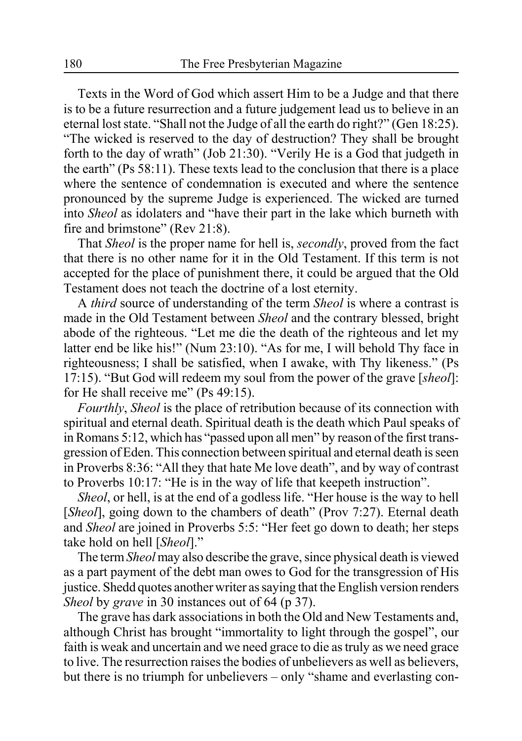Texts in the Word of God which assert Him to be a Judge and that there is to be a future resurrection and a future judgement lead us to believe in an eternal lost state. "Shall not the Judge of all the earth do right?" (Gen 18:25). "The wicked is reserved to the day of destruction? They shall be brought forth to the day of wrath" (Job 21:30). "Verily He is a God that judgeth in the earth" (Ps 58:11). These texts lead to the conclusion that there is a place where the sentence of condemnation is executed and where the sentence pronounced by the supreme Judge is experienced. The wicked are turned into *Sheol* as idolaters and "have their part in the lake which burneth with fire and brimstone" (Rev 21:8).

That *Sheol* is the proper name for hell is, *secondly*, proved from the fact that there is no other name for it in the Old Testament. If this term is not accepted for the place of punishment there, it could be argued that the Old Testament does not teach the doctrine of a lost eternity.

A *third* source of understanding of the term *Sheol* is where a contrast is made in the Old Testament between *Sheol* and the contrary blessed, bright abode of the righteous. "Let me die the death of the righteous and let my latter end be like his!" (Num 23:10). "As for me, I will behold Thy face in righteousness; I shall be satisfied, when I awake, with Thy likeness." (Ps 17:15). "But God will redeem my soul from the power of the grave [*sheol*]: for He shall receive me" (Ps 49:15).

*Fourthly*, *Sheol* is the place of retribution because of its connection with spiritual and eternal death. Spiritual death is the death which Paul speaks of in Romans 5:12, which has "passed upon all men" by reason of the first transgression of Eden. This connection between spiritual and eternal death is seen in Proverbs 8:36: "All they that hate Me love death", and by way of contrast to Proverbs 10:17: "He is in the way of life that keepeth instruction".

*Sheol*, or hell, is at the end of a godless life. "Her house is the way to hell [*Sheol*], going down to the chambers of death" (Prov 7:27). Eternal death and *Sheol* are joined in Proverbs 5:5: "Her feet go down to death; her steps take hold on hell [*Sheol*]."

The term *Sheol* may also describe the grave, since physical death is viewed as a part payment of the debt man owes to God for the transgression of His justice. Shedd quotes another writer as saying that the English version renders *Sheol* by *grave* in 30 instances out of 64 (p 37).

The grave has dark associations in both the Old and New Testaments and, although Christ has brought "immortality to light through the gospel", our faith is weak and uncertain and we need grace to die as truly as we need grace to live. The resurrection raises the bodies of unbelievers as well as believers, but there is no triumph for unbelievers – only "shame and everlasting con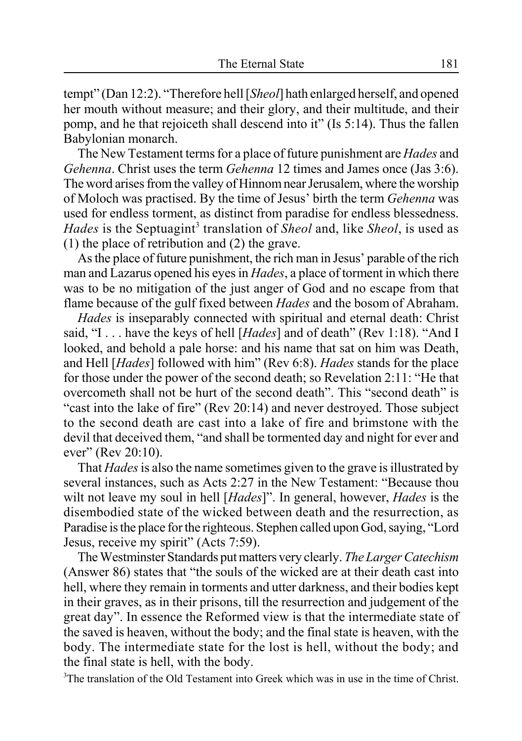tempt" (Dan 12:2). "Therefore hell [*Sheol*] hath enlarged herself, and opened her mouth without measure; and their glory, and their multitude, and their pomp, and he that rejoiceth shall descend into it" (Is 5:14). Thus the fallen Babylonian monarch.

The New Testament terms for a place of future punishment are *Hades* and *Gehenna*. Christ uses the term *Gehenna* 12 times and James once (Jas 3:6). The word arises from the valley of Hinnom near Jerusalem, where the worship of Moloch was practised. By the time of Jesus' birth the term *Gehenna* was used for endless torment, as distinct from paradise for endless blessedness. Hades is the Septuagint<sup>3</sup> translation of *Sheol* and, like *Sheol*, is used as (1) the place of retribution and (2) the grave.

As the place of future punishment, the rich man in Jesus' parable of the rich man and Lazarus opened his eyes in *Hades*, a place of torment in which there was to be no mitigation of the just anger of God and no escape from that flame because of the gulf fixed between *Hades* and the bosom of Abraham.

*Hades* is inseparably connected with spiritual and eternal death: Christ said, "I . . . have the keys of hell [*Hades*] and of death" (Rev 1:18). "And I looked, and behold a pale horse: and his name that sat on him was Death, and Hell [*Hades*] followed with him" (Rev 6:8). *Hades* stands for the place for those under the power of the second death; so Revelation 2:11: "He that overcometh shall not be hurt of the second death". This "second death" is "cast into the lake of fire" (Rev 20:14) and never destroyed. Those subject to the second death are cast into a lake of fire and brimstone with the devil that deceived them, "and shall be tormented day and night for ever and ever" (Rev 20:10).

That *Hades* is also the name sometimes given to the grave is illustrated by several instances, such as Acts 2:27 in the New Testament: "Because thou wilt not leave my soul in hell [*Hades*]". In general, however, *Hades* is the disembodied state of the wicked between death and the resurrection, as Paradise is the place for the righteous. Stephen called upon God, saying, "Lord Jesus, receive my spirit" (Acts 7:59).

The Westminster Standards put matters very clearly. *The Larger Catechism* (Answer 86) states that "the souls of the wicked are at their death cast into hell, where they remain in torments and utter darkness, and their bodies kept in their graves, as in their prisons, till the resurrection and judgement of the great day". In essence the Reformed view is that the intermediate state of the saved is heaven, without the body; and the final state is heaven, with the body. The intermediate state for the lost is hell, without the body; and the final state is hell, with the body.

<sup>3</sup>The translation of the Old Testament into Greek which was in use in the time of Christ.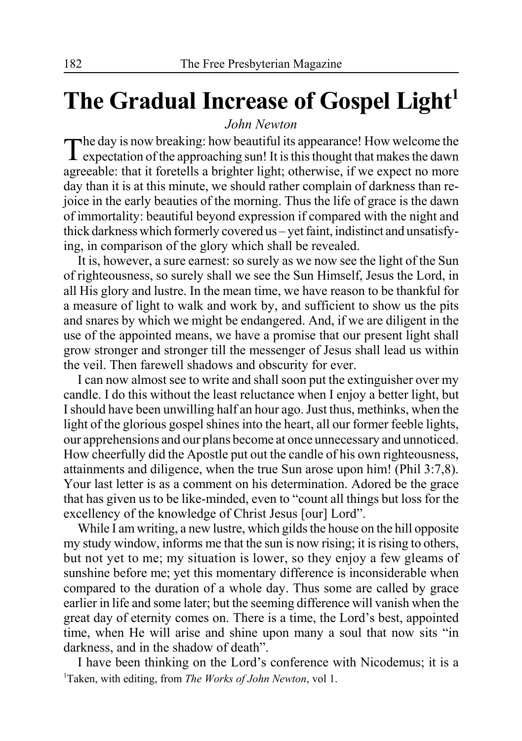# The Gradual Increase of Gospel Light<sup>1</sup>

#### *John Newton*

The day is now breaking: how beautiful its appearance! How welcome the expectation of the approaching sun! It is this thought that makes the dawn agreeable: that it foretells a brighter light; otherwise, if we expect no more day than it is at this minute, we should rather complain of darkness than rejoice in the early beauties of the morning. Thus the life of grace is the dawn of immortality: beautiful beyond expression if compared with the night and thick darkness which formerly covered us – yet faint, indistinct and unsatisfying, in comparison of the glory which shall be revealed.

It is, however, a sure earnest: so surely as we now see the light of the Sun of righteousness, so surely shall we see the Sun Himself, Jesus the Lord, in all His glory and lustre. In the mean time, we have reason to be thankful for a measure of light to walk and work by, and sufficient to show us the pits and snares by which we might be endangered. And, if we are diligent in the use of the appointed means, we have a promise that our present light shall grow stronger and stronger till the messenger of Jesus shall lead us within the veil. Then farewell shadows and obscurity for ever.

I can now almost see to write and shall soon put the extinguisher over my candle. I do this without the least reluctance when I enjoy a better light, but I should have been unwilling half an hour ago. Just thus, methinks, when the light of the glorious gospel shines into the heart, all our former feeble lights, our apprehensions and our plans become at once unnecessary and unnoticed. How cheerfully did the Apostle put out the candle of his own righteousness, attainments and diligence, when the true Sun arose upon him! (Phil 3:7,8). Your last letter is as a comment on his determination. Adored be the grace that has given us to be like-minded, even to "count all things but loss for the excellency of the knowledge of Christ Jesus [our] Lord".

While I am writing, a new lustre, which gilds the house on the hill opposite my study window, informs me that the sun is now rising; it is rising to others, but not yet to me; my situation is lower, so they enjoy a few gleams of sunshine before me; yet this momentary difference is inconsiderable when compared to the duration of a whole day. Thus some are called by grace earlier in life and some later; but the seeming difference will vanish when the great day of eternity comes on. There is a time, the Lord's best, appointed time, when He will arise and shine upon many a soul that now sits "in darkness, and in the shadow of death".

I have been thinking on the Lord's conference with Nicodemus; it is a 1 Taken, with editing, from *The Works of John Newton*, vol 1.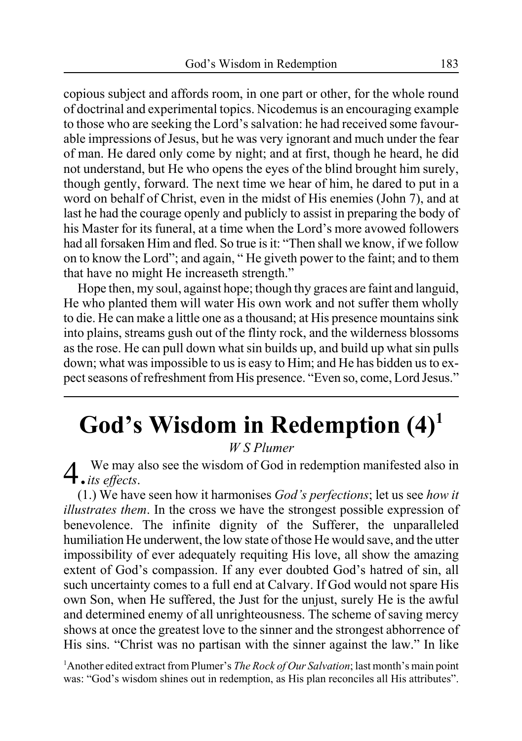copious subject and affords room, in one part or other, for the whole round of doctrinal and experimental topics. Nicodemus is an encouraging example to those who are seeking the Lord's salvation: he had received some favourable impressions of Jesus, but he was very ignorant and much under the fear of man. He dared only come by night; and at first, though he heard, he did not understand, but He who opens the eyes of the blind brought him surely, though gently, forward. The next time we hear of him, he dared to put in a word on behalf of Christ, even in the midst of His enemies (John 7), and at last he had the courage openly and publicly to assist in preparing the body of his Master for its funeral, at a time when the Lord's more avowed followers had all forsaken Him and fled. So true is it: "Then shall we know, if we follow on to know the Lord"; and again, " He giveth power to the faint; and to them that have no might He increaseth strength."

Hope then, my soul, against hope; though thy graces are faint and languid, He who planted them will water His own work and not suffer them wholly to die. He can make a little one as a thousand; at His presence mountains sink into plains, streams gush out of the flinty rock, and the wilderness blossoms as the rose. He can pull down what sin builds up, and build up what sin pulls down; what was impossible to us is easy to Him; and He has bidden us to expect seasons of refreshment from His presence. "Even so, come, Lord Jesus."

# **God's Wisdom in Redemption (4)1**

*W S Plumer*

4. We may also see the wisdom of God in redemption manifested also in *its effects*.

(1.) We have seen how it harmonises *God's perfections*; let us see *how it illustrates them*. In the cross we have the strongest possible expression of benevolence. The infinite dignity of the Sufferer, the unparalleled humiliation He underwent, the low state of those He would save, and the utter impossibility of ever adequately requiting His love, all show the amazing extent of God's compassion. If any ever doubted God's hatred of sin, all such uncertainty comes to a full end at Calvary. If God would not spare His own Son, when He suffered, the Just for the unjust, surely He is the awful and determined enemy of all unrighteousness. The scheme of saving mercy shows at once the greatest love to the sinner and the strongest abhorrence of His sins. "Christ was no partisan with the sinner against the law." In like

1 Another edited extract from Plumer's *The Rock of Our Salvation*; last month's main point was: "God's wisdom shines out in redemption, as His plan reconciles all His attributes".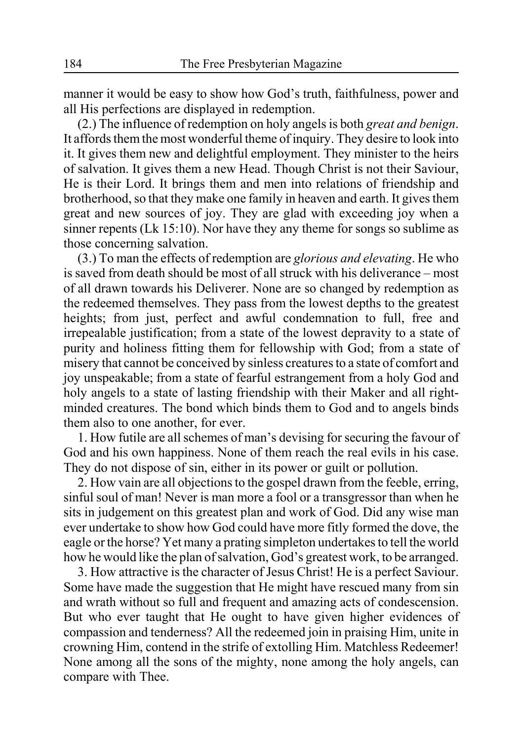manner it would be easy to show how God's truth, faithfulness, power and all His perfections are displayed in redemption.

(2.) The influence of redemption on holy angels is both *great and benign*. It affords them the most wonderful theme of inquiry. They desire to look into it. It gives them new and delightful employment. They minister to the heirs of salvation. It gives them a new Head. Though Christ is not their Saviour, He is their Lord. It brings them and men into relations of friendship and brotherhood, so that they make one family in heaven and earth. It gives them great and new sources of joy. They are glad with exceeding joy when a sinner repents (Lk 15:10). Nor have they any theme for songs so sublime as those concerning salvation.

(3.) To man the effects of redemption are *glorious and elevating*. He who is saved from death should be most of all struck with his deliverance – most of all drawn towards his Deliverer. None are so changed by redemption as the redeemed themselves. They pass from the lowest depths to the greatest heights; from just, perfect and awful condemnation to full, free and irrepealable justification; from a state of the lowest depravity to a state of purity and holiness fitting them for fellowship with God; from a state of misery that cannot be conceived by sinless creatures to a state of comfort and joy unspeakable; from a state of fearful estrangement from a holy God and holy angels to a state of lasting friendship with their Maker and all rightminded creatures. The bond which binds them to God and to angels binds them also to one another, for ever.

1. How futile are all schemes of man's devising for securing the favour of God and his own happiness. None of them reach the real evils in his case. They do not dispose of sin, either in its power or guilt or pollution.

2. How vain are all objections to the gospel drawn from the feeble, erring, sinful soul of man! Never is man more a fool or a transgressor than when he sits in judgement on this greatest plan and work of God. Did any wise man ever undertake to show how God could have more fitly formed the dove, the eagle or the horse? Yet many a prating simpleton undertakes to tell the world how he would like the plan of salvation, God's greatest work, to be arranged.

3. How attractive is the character of Jesus Christ! He is a perfect Saviour. Some have made the suggestion that He might have rescued many from sin and wrath without so full and frequent and amazing acts of condescension. But who ever taught that He ought to have given higher evidences of compassion and tenderness? All the redeemed join in praising Him, unite in crowning Him, contend in the strife of extolling Him. Matchless Redeemer! None among all the sons of the mighty, none among the holy angels, can compare with Thee.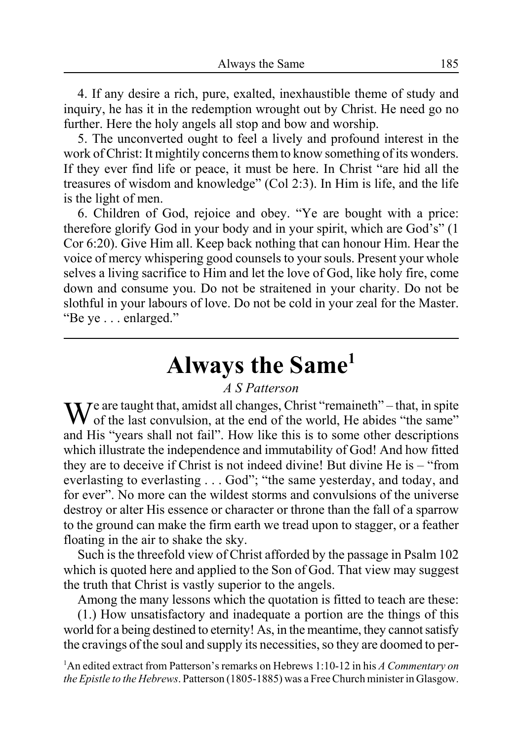4. If any desire a rich, pure, exalted, inexhaustible theme of study and inquiry, he has it in the redemption wrought out by Christ. He need go no further. Here the holy angels all stop and bow and worship.

5. The unconverted ought to feel a lively and profound interest in the work of Christ: It mightily concerns them to know something of its wonders. If they ever find life or peace, it must be here. In Christ "are hid all the treasures of wisdom and knowledge" (Col 2:3). In Him is life, and the life is the light of men.

6. Children of God, rejoice and obey. "Ye are bought with a price: therefore glorify God in your body and in your spirit, which are God's" (1 Cor 6:20). Give Him all. Keep back nothing that can honour Him. Hear the voice of mercy whispering good counsels to your souls. Present your whole selves a living sacrifice to Him and let the love of God, like holy fire, come down and consume you. Do not be straitened in your charity. Do not be slothful in your labours of love. Do not be cold in your zeal for the Master. "Be ye . . . enlarged."

# **Always the Same1**

#### *A S Patterson*

 $\mathbf{W}^{\text{e}}$  are taught that, amidst all changes, Christ "remaineth" – that, in spite of the last convulsion, at the end of the world, He abides "the same" and His "years shall not fail". How like this is to some other descriptions which illustrate the independence and immutability of God! And how fitted they are to deceive if Christ is not indeed divine! But divine He is – "from everlasting to everlasting . . . God"; "the same yesterday, and today, and for ever". No more can the wildest storms and convulsions of the universe destroy or alter His essence or character or throne than the fall of a sparrow to the ground can make the firm earth we tread upon to stagger, or a feather floating in the air to shake the sky.

Such is the threefold view of Christ afforded by the passage in Psalm 102 which is quoted here and applied to the Son of God. That view may suggest the truth that Christ is vastly superior to the angels.

Among the many lessons which the quotation is fitted to teach are these: (1.) How unsatisfactory and inadequate a portion are the things of this world for a being destined to eternity! As, in the meantime, they cannot satisfy the cravings of the soul and supply its necessities, so they are doomed to per-

1 An edited extract from Patterson's remarks on Hebrews 1:10-12 in his *A Commentary on the Epistle to the Hebrews*. Patterson (1805-1885) was a Free Church minister in Glasgow.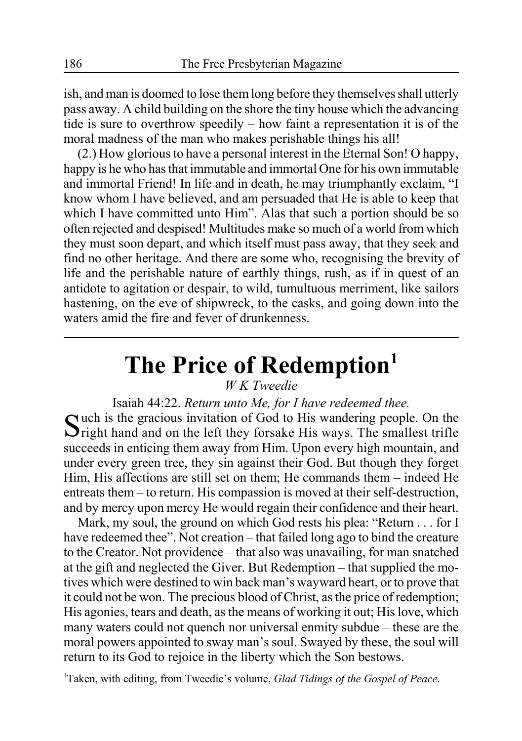ish, and man is doomed to lose them long before they themselves shall utterly pass away. A child building on the shore the tiny house which the advancing tide is sure to overthrow speedily – how faint a representation it is of the moral madness of the man who makes perishable things his all!

(2.) How glorious to have a personal interest in the Eternal Son! O happy, happy is he who has that immutable and immortal One for his own immutable and immortal Friend! In life and in death, he may triumphantly exclaim, "I know whom I have believed, and am persuaded that He is able to keep that which I have committed unto Him". Alas that such a portion should be so often rejected and despised! Multitudes make so much of a world from which they must soon depart, and which itself must pass away, that they seek and find no other heritage. And there are some who, recognising the brevity of life and the perishable nature of earthly things, rush, as if in quest of an antidote to agitation or despair, to wild, tumultuous merriment, like sailors hastening, on the eve of shipwreck, to the casks, and going down into the waters amid the fire and fever of drunkenness.

# **The Price of Redemption1**

### *W K Tweedie*

Isaiah 44:22. *Return unto Me, for I have redeemed thee.* Such is the gracious invitation of God to His wandering people. On the Sright hand and on the left they forsake His ways. The smallest trifle succeeds in enticing them away from Him. Upon every high mountain, and under every green tree, they sin against their God. But though they forget Him, His affections are still set on them; He commands them – indeed He entreats them – to return. His compassion is moved at their self-destruction, and by mercy upon mercy He would regain their confidence and their heart.

Mark, my soul, the ground on which God rests his plea: "Return . . . for I have redeemed thee". Not creation – that failed long ago to bind the creature to the Creator. Not providence – that also was unavailing, for man snatched at the gift and neglected the Giver. But Redemption – that supplied the motives which were destined to win back man's wayward heart, or to prove that it could not be won. The precious blood of Christ, as the price of redemption; His agonies, tears and death, as the means of working it out; His love, which many waters could not quench nor universal enmity subdue – these are the moral powers appointed to sway man's soul. Swayed by these, the soul will return to its God to rejoice in the liberty which the Son bestows.

1 Taken, with editing, from Tweedie's volume, *Glad Tidings of the Gospel of Peace*.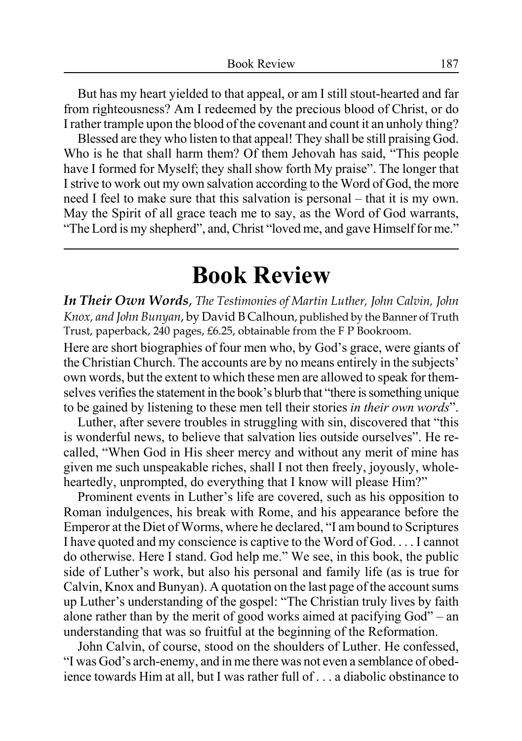But has my heart yielded to that appeal, or am I still stout-hearted and far from righteousness? Am I redeemed by the precious blood of Christ, or do I rather trample upon the blood of the covenant and count it an unholy thing?

Blessed are they who listen to that appeal! They shall be still praising God. Who is he that shall harm them? Of them Jehovah has said, "This people have I formed for Myself; they shall show forth My praise". The longer that I strive to work out my own salvation according to the Word of God, the more need I feel to make sure that this salvation is personal – that it is my own. May the Spirit of all grace teach me to say, as the Word of God warrants, "The Lord is my shepherd", and, Christ "loved me, and gave Himself for me."

# **Book Review**

*In Their Own Words*, *The Testimonies of Martin Luther, John Calvin, John Knox, and John Bunyan*, by David B Calhoun, published by the Banner of Truth Trust, paperback, 240 pages, £6.25, obtainable from the F P Bookroom.

Here are short biographies of four men who, by God's grace, were giants of the Christian Church. The accounts are by no means entirely in the subjects' own words, but the extent to which these men are allowed to speak for themselves verifies the statement in the book's blurb that "there is something unique to be gained by listening to these men tell their stories *in their own words*".

Luther, after severe troubles in struggling with sin, discovered that "this is wonderful news, to believe that salvation lies outside ourselves". He recalled, "When God in His sheer mercy and without any merit of mine has given me such unspeakable riches, shall I not then freely, joyously, wholeheartedly, unprompted, do everything that I know will please Him?"

Prominent events in Luther's life are covered, such as his opposition to Roman indulgences, his break with Rome, and his appearance before the Emperor at the Diet of Worms, where he declared, "I am bound to Scriptures I have quoted and my conscience is captive to the Word of God. . . . I cannot do otherwise. Here I stand. God help me." We see, in this book, the public side of Luther's work, but also his personal and family life (as is true for Calvin, Knox and Bunyan). A quotation on the last page of the account sums up Luther's understanding of the gospel: "The Christian truly lives by faith alone rather than by the merit of good works aimed at pacifying God" – an understanding that was so fruitful at the beginning of the Reformation.

John Calvin, of course, stood on the shoulders of Luther. He confessed, "I was God's arch-enemy, and in me there was not even a semblance of obedience towards Him at all, but I was rather full of . . . a diabolic obstinance to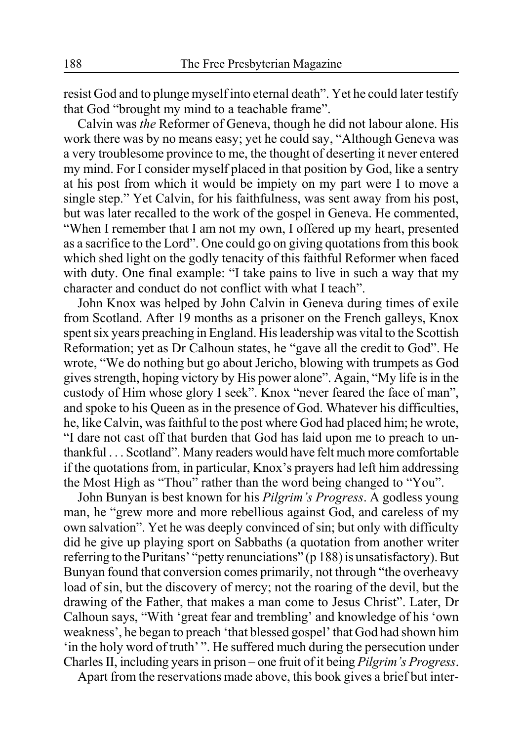resist God and to plunge myself into eternal death". Yet he could later testify that God "brought my mind to a teachable frame".

Calvin was *the* Reformer of Geneva, though he did not labour alone. His work there was by no means easy; yet he could say, "Although Geneva was a very troublesome province to me, the thought of deserting it never entered my mind. For I consider myself placed in that position by God, like a sentry at his post from which it would be impiety on my part were I to move a single step." Yet Calvin, for his faithfulness, was sent away from his post, but was later recalled to the work of the gospel in Geneva. He commented, "When I remember that I am not my own, I offered up my heart, presented as a sacrifice to the Lord". One could go on giving quotations from this book which shed light on the godly tenacity of this faithful Reformer when faced with duty. One final example: "I take pains to live in such a way that my character and conduct do not conflict with what I teach".

John Knox was helped by John Calvin in Geneva during times of exile from Scotland. After 19 months as a prisoner on the French galleys, Knox spent six years preaching in England. His leadership was vital to the Scottish Reformation; yet as Dr Calhoun states, he "gave all the credit to God". He wrote, "We do nothing but go about Jericho, blowing with trumpets as God gives strength, hoping victory by His power alone". Again, "My life is in the custody of Him whose glory I seek". Knox "never feared the face of man", and spoke to his Queen as in the presence of God. Whatever his difficulties, he, like Calvin, was faithful to the post where God had placed him; he wrote, "I dare not cast off that burden that God has laid upon me to preach to unthankful . . . Scotland". Many readers would have felt much more comfortable if the quotations from, in particular, Knox's prayers had left him addressing the Most High as "Thou" rather than the word being changed to "You".

John Bunyan is best known for his *Pilgrim's Progress*. A godless young man, he "grew more and more rebellious against God, and careless of my own salvation". Yet he was deeply convinced of sin; but only with difficulty did he give up playing sport on Sabbaths (a quotation from another writer referring to the Puritans' "petty renunciations" (p 188) is unsatisfactory). But Bunyan found that conversion comes primarily, not through "the overheavy load of sin, but the discovery of mercy; not the roaring of the devil, but the drawing of the Father, that makes a man come to Jesus Christ". Later, Dr Calhoun says, "With 'great fear and trembling' and knowledge of his 'own weakness', he began to preach 'that blessed gospel' that God had shown him 'in the holy word of truth' ". He suffered much during the persecution under Charles II, including years in prison – one fruit of it being *Pilgrim's Progress*.

Apart from the reservations made above, this book gives a brief but inter-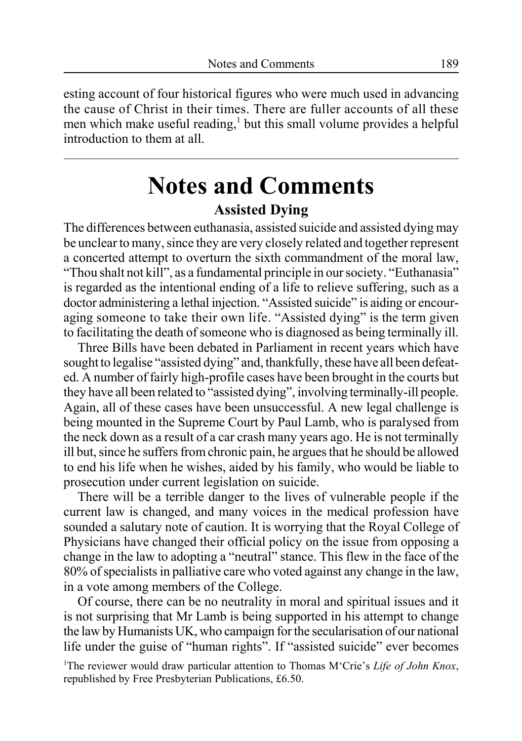esting account of four historical figures who were much used in advancing the cause of Christ in their times. There are fuller accounts of all these men which make useful reading,<sup>1</sup> but this small volume provides a helpful introduction to them at all.

### **Notes and Comments Assisted Dying**

The differences between euthanasia, assisted suicide and assisted dying may be unclear to many, since they are very closely related and together represent a concerted attempt to overturn the sixth commandment of the moral law, "Thou shalt not kill", as a fundamental principle in our society. "Euthanasia" is regarded as the intentional ending of a life to relieve suffering, such as a doctor administering a lethal injection. "Assisted suicide" is aiding or encouraging someone to take their own life. "Assisted dying" is the term given to facilitating the death of someone who is diagnosed as being terminally ill.

Three Bills have been debated in Parliament in recent years which have sought to legalise "assisted dying" and, thankfully, these have all been defeated. A number of fairly high-profile cases have been brought in the courts but they have all been related to "assisted dying", involving terminally-ill people. Again, all of these cases have been unsuccessful. A new legal challenge is being mounted in the Supreme Court by Paul Lamb, who is paralysed from the neck down as a result of a car crash many years ago. He is not terminally ill but, since he suffers from chronic pain, he argues that he should be allowed to end his life when he wishes, aided by his family, who would be liable to prosecution under current legislation on suicide.

There will be a terrible danger to the lives of vulnerable people if the current law is changed, and many voices in the medical profession have sounded a salutary note of caution. It is worrying that the Royal College of Physicians have changed their official policy on the issue from opposing a change in the law to adopting a "neutral" stance. This flew in the face of the 80% of specialists in palliative care who voted against any change in the law, in a vote among members of the College.

Of course, there can be no neutrality in moral and spiritual issues and it is not surprising that Mr Lamb is being supported in his attempt to change the law by Humanists UK, who campaign for the secularisation of our national life under the guise of "human rights". If "assisted suicide" ever becomes

<sup>1</sup>The reviewer would draw particular attention to Thomas M'Crie's Life of John Knox, republished by Free Presbyterian Publications, £6.50.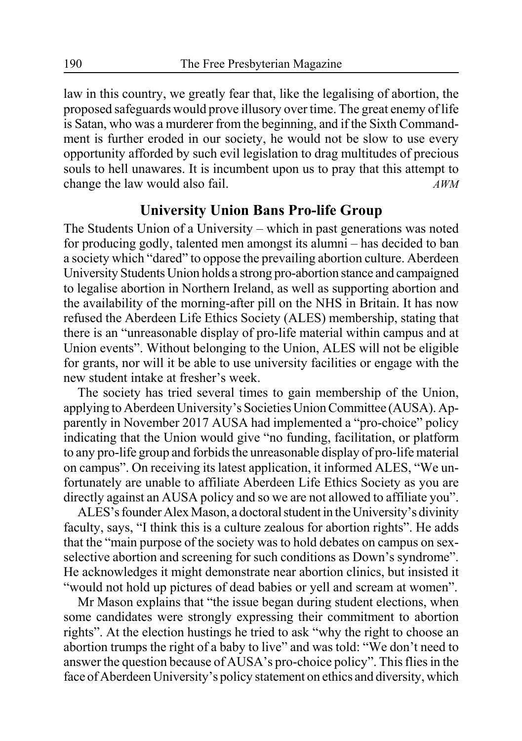law in this country, we greatly fear that, like the legalising of abortion, the proposed safeguards would prove illusory over time. The great enemy of life is Satan, who was a murderer from the beginning, and if the Sixth Commandment is further eroded in our society, he would not be slow to use every opportunity afforded by such evil legislation to drag multitudes of precious souls to hell unawares. It is incumbent upon us to pray that this attempt to change the law would also fail. *AWM*

#### **University Union Bans Pro-life Group**

The Students Union of a University – which in past generations was noted for producing godly, talented men amongst its alumni – has decided to ban a society which "dared" to oppose the prevailing abortion culture. Aberdeen University Students Union holds a strong pro-abortion stance and campaigned to legalise abortion in Northern Ireland, as well as supporting abortion and the availability of the morning-after pill on the NHS in Britain. It has now refused the Aberdeen Life Ethics Society (ALES) membership, stating that there is an "unreasonable display of pro-life material within campus and at Union events". Without belonging to the Union, ALES will not be eligible for grants, nor will it be able to use university facilities or engage with the new student intake at fresher's week.

The society has tried several times to gain membership of the Union, applying to Aberdeen University's Societies Union Committee (AUSA). Apparently in November 2017 AUSA had implemented a "pro-choice" policy indicating that the Union would give "no funding, facilitation, or platform to any pro-life group and forbids the unreasonable display of pro-life material on campus". On receiving its latest application, it informed ALES, "We unfortunately are unable to affiliate Aberdeen Life Ethics Society as you are directly against an AUSA policy and so we are not allowed to affiliate you".

ALES's founder Alex Mason, a doctoral student in the University's divinity faculty, says, "I think this is a culture zealous for abortion rights". He adds that the "main purpose of the society was to hold debates on campus on sexselective abortion and screening for such conditions as Down's syndrome". He acknowledges it might demonstrate near abortion clinics, but insisted it "would not hold up pictures of dead babies or yell and scream at women".

Mr Mason explains that "the issue began during student elections, when some candidates were strongly expressing their commitment to abortion rights". At the election hustings he tried to ask "why the right to choose an abortion trumps the right of a baby to live" and was told: "We don't need to answer the question because of AUSA's pro-choice policy". This flies in the face of Aberdeen University's policy statement on ethics and diversity, which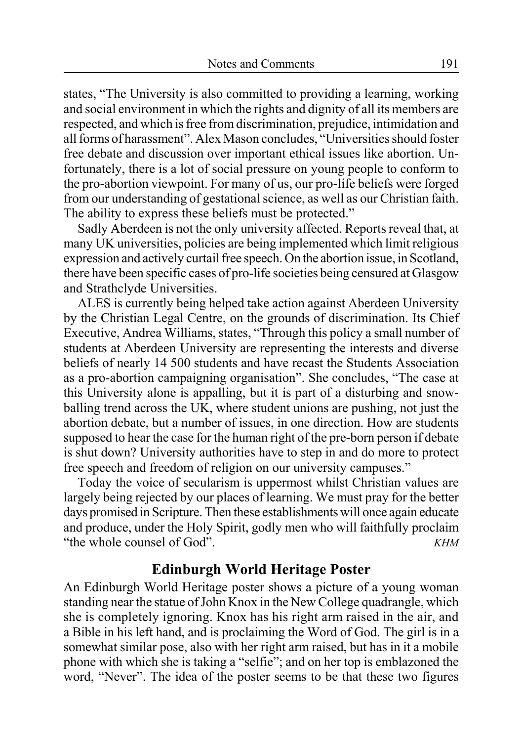states, "The University is also committed to providing a learning, working and social environment in which the rights and dignity of all its members are respected, and which is free from discrimination, prejudice, intimidation and all forms of harassment". Alex Mason concludes, "Universities should foster free debate and discussion over important ethical issues like abortion. Unfortunately, there is a lot of social pressure on young people to conform to the pro-abortion viewpoint. For many of us, our pro-life beliefs were forged from our understanding of gestational science, as well as our Christian faith. The ability to express these beliefs must be protected."

Sadly Aberdeen is not the only university affected. Reports reveal that, at many UK universities, policies are being implemented which limit religious expression and actively curtail free speech. On the abortion issue, in Scotland, there have been specific cases of pro-life societies being censured at Glasgow and Strathclyde Universities.

ALES is currently being helped take action against Aberdeen University by the Christian Legal Centre, on the grounds of discrimination. Its Chief Executive, Andrea Williams, states, "Through this policy a small number of students at Aberdeen University are representing the interests and diverse beliefs of nearly 14 500 students and have recast the Students Association as a pro-abortion campaigning organisation". She concludes, "The case at this University alone is appalling, but it is part of a disturbing and snowballing trend across the UK, where student unions are pushing, not just the abortion debate, but a number of issues, in one direction. How are students supposed to hear the case for the human right of the pre-born person if debate is shut down? University authorities have to step in and do more to protect free speech and freedom of religion on our university campuses."

Today the voice of secularism is uppermost whilst Christian values are largely being rejected by our places of learning. We must pray for the better days promised in Scripture. Then these establishments will once again educate and produce, under the Holy Spirit, godly men who will faithfully proclaim "the whole counsel of God". *KHM*

#### **Edinburgh World Heritage Poster**

An Edinburgh World Heritage poster shows a picture of a young woman standing near the statue of John Knox in the New College quadrangle, which she is completely ignoring. Knox has his right arm raised in the air, and a Bible in his left hand, and is proclaiming the Word of God. The girl is in a somewhat similar pose, also with her right arm raised, but has in it a mobile phone with which she is taking a "selfie"; and on her top is emblazoned the word, "Never". The idea of the poster seems to be that these two figures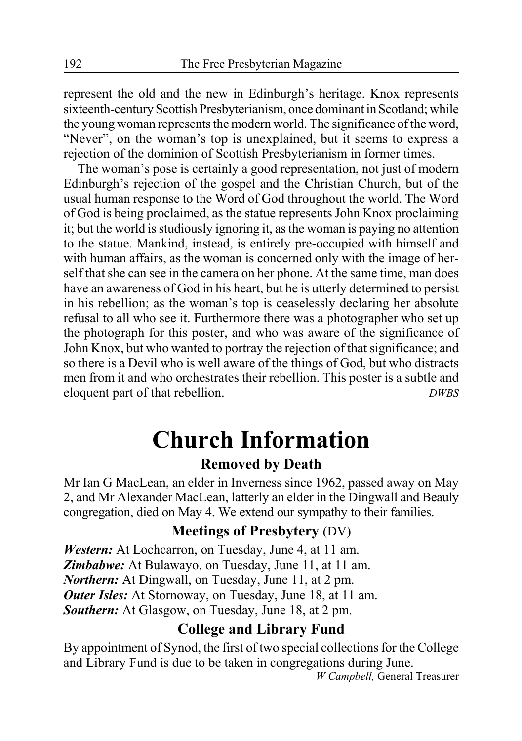represent the old and the new in Edinburgh's heritage. Knox represents sixteenth-century Scottish Presbyterianism, once dominant in Scotland; while the young woman represents the modern world. The significance of the word, "Never", on the woman's top is unexplained, but it seems to express a rejection of the dominion of Scottish Presbyterianism in former times.

The woman's pose is certainly a good representation, not just of modern Edinburgh's rejection of the gospel and the Christian Church, but of the usual human response to the Word of God throughout the world. The Word of God is being proclaimed, as the statue represents John Knox proclaiming it; but the world is studiously ignoring it, as the woman is paying no attention to the statue. Mankind, instead, is entirely pre-occupied with himself and with human affairs, as the woman is concerned only with the image of herself that she can see in the camera on her phone. At the same time, man does have an awareness of God in his heart, but he is utterly determined to persist in his rebellion; as the woman's top is ceaselessly declaring her absolute refusal to all who see it. Furthermore there was a photographer who set up the photograph for this poster, and who was aware of the significance of John Knox, but who wanted to portray the rejection of that significance; and so there is a Devil who is well aware of the things of God, but who distracts men from it and who orchestrates their rebellion. This poster is a subtle and eloquent part of that rebellion. *DWBS*

# **Church Information**

### **Removed by Death**

Mr Ian G MacLean, an elder in Inverness since 1962, passed away on May 2, and Mr Alexander MacLean, latterly an elder in the Dingwall and Beauly congregation, died on May 4. We extend our sympathy to their families.

### **Meetings of Presbytery** (DV)

*Western:* At Lochcarron, on Tuesday, June 4, at 11 am. *Zimbabwe:* At Bulawayo, on Tuesday, June 11, at 11 am. *Northern:* At Dingwall, on Tuesday, June 11, at 2 pm. *Outer Isles:* At Stornoway, on Tuesday, June 18, at 11 am. *Southern:* At Glasgow, on Tuesday, June 18, at 2 pm.

### **College and Library Fund**

By appointment of Synod, the first of two special collections for the College and Library Fund is due to be taken in congregations during June.

*W Campbell,* General Treasurer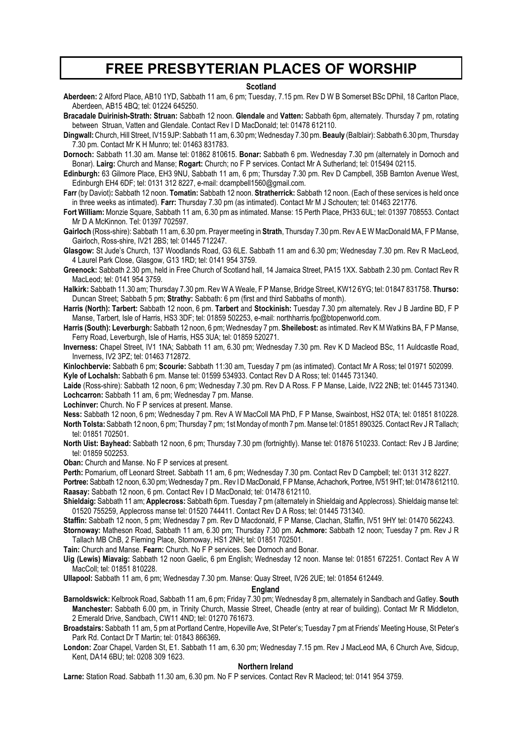### **FREE PRESBYTERIAN PLACES OF WORSHIP**

#### **Scotland**

**Aberdeen:** 2 Alford Place, AB10 1YD, Sabbath 11 am, 6 pm; Tuesday, 7.15 pm. Rev D W B Somerset BSc DPhil, 18 Carlton Place, Aberdeen, AB15 4BQ; tel: 01224 645250.

**Bracadale Duirinish-Strath: Struan:** Sabbath 12 noon. **Glendale** and **Vatten:** Sabbath 6pm, alternately. Thursday 7 pm, rotating between Struan, Vatten and Glendale. Contact Rev I D MacDonald; tel: 01478 612110.

**Dingwall:** Church, Hill Street, IV15 9JP: Sabbath 11 am, 6.30 pm; Wednesday 7.30 pm. **Beauly** (Balblair): Sabbath 6.30 pm, Thursday 7.30 pm. Contact Mr K H Munro; tel: 01463 831783.

- **Dornoch:** Sabbath 11.30 am. Manse tel: 01862 810615. **Bonar:** Sabbath 6 pm. Wednesday 7.30 pm (alternately in Dornoch and Bonar). **Lairg:** Church and Manse; **Rogart:** Church; no F P services. Contact Mr A Sutherland; tel: 015494 02115.
- **Edinburgh:** 63 Gilmore Place, EH3 9NU, Sabbath 11 am, 6 pm; Thursday 7.30 pm. Rev D Campbell, 35B Barnton Avenue West, Edinburgh EH4 6DF; tel: 0131 312 8227, e-mail: dcampbell1560@gmail.com.
- **Farr** (by Daviot)**:** Sabbath 12 noon. **Tomatin:** Sabbath 12 noon. **Stratherrick:** Sabbath 12 noon. (Each of these services is held once in three weeks as intimated). **Farr:** Thursday 7.30 pm (as intimated). Contact Mr M J Schouten; tel: 01463 221776.
- **Fort William:** Monzie Square, Sabbath 11 am, 6.30 pm as intimated. Manse: 15 Perth Place, PH33 6UL; tel: 01397 708553. Contact Mr D A McKinnon. Tel: 01397 702597.
- **Gairloch** (Ross-shire): Sabbath 11 am, 6.30 pm. Prayer meeting in **Strath**, Thursday 7.30 pm. Rev A E W MacDonald MA, F P Manse, Gairloch, Ross-shire, IV21 2BS; tel: 01445 712247.
- **Glasgow:** St Jude's Church, 137 Woodlands Road, G3 6LE. Sabbath 11 am and 6.30 pm; Wednesday 7.30 pm. Rev R MacLeod, 4 Laurel Park Close, Glasgow, G13 1RD; tel: 0141 954 3759.
- **Greenock:** Sabbath 2.30 pm, held in Free Church of Scotland hall, 14 Jamaica Street, PA15 1XX. Sabbath 2.30 pm. Contact Rev R MacLeod; tel: 0141 954 3759.
- **Halkirk:** Sabbath 11.30 am; Thursday 7.30 pm. Rev W A Weale, F P Manse, Bridge Street, KW12 6YG; tel: 01847 831758. **Thurso:** Duncan Street; Sabbath 5 pm; **Strathy:** Sabbath: 6 pm (first and third Sabbaths of month).
- **Harris (North): Tarbert:** Sabbath 12 noon, 6 pm. **Tarbert** and **Stockinish:** Tuesday 7.30 pm alternately. Rev J B Jardine BD, F P Manse, Tarbert, Isle of Harris, HS3 3DF; tel: 01859 502253, e-mail: northharris.fpc@btopenworld.com.
- **Harris (South): Leverburgh:** Sabbath 12 noon, 6 pm; Wednesday 7 pm. **Sheilebost:** as intimated. Rev K M Watkins BA, F P Manse, Ferry Road, Leverburgh, Isle of Harris, HS5 3UA; tel: 01859 520271.
- **Inverness:** Chapel Street, IV1 1NA; Sabbath 11 am, 6.30 pm; Wednesday 7.30 pm. Rev K D Macleod BSc, 11 Auldcastle Road, Inverness, IV2 3PZ; tel: 01463 712872.
- **Kinlochbervie:** Sabbath 6 pm; **Scourie:** Sabbath 11:30 am, Tuesday 7 pm (as intimated). Contact Mr A Ross; tel 01971 502099. **Kyle of Lochalsh:** Sabbath 6 pm. Manse tel: 01599 534933. Contact Rev D A Ross; tel: 01445 731340.
- **Laide** (Ross-shire): Sabbath 12 noon, 6 pm; Wednesday 7.30 pm. Rev D A Ross. F P Manse, Laide, IV22 2NB; tel: 01445 731340. **Lochcarron:** Sabbath 11 am, 6 pm; Wednesday 7 pm. Manse.

**Lochinver:** Church. No F P services at present. Manse.

- **Ness:** Sabbath 12 noon, 6 pm; Wednesday 7 pm. Rev A W MacColl MA PhD, F P Manse, Swainbost, HS2 0TA; tel: 01851 810228. **North Tolsta:** Sabbath 12 noon, 6 pm; Thursday 7 pm; 1st Monday of month 7 pm. Manse tel: 01851 890325. Contact Rev J R Tallach; tel: 01851 702501.
- North Uist: Bayhead: Sabbath 12 noon, 6 pm; Thursday 7.30 pm (fortnightly). Manse tel: 01876 510233. Contact: Rev J B Jardine; tel: 01859 502253.

**Oban:** Church and Manse. No F P services at present.

**Perth:** Pomarium, off Leonard Street. Sabbath 11 am, 6 pm; Wednesday 7.30 pm. Contact Rev D Campbell; tel: 0131 312 8227.

**Portree:** Sabbath 12 noon, 6.30 pm; Wednesday 7 pm.. Rev I D MacDonald, F P Manse, Achachork, Portree, IV51 9HT; tel: 01478 612110. **Raasay:** Sabbath 12 noon, 6 pm. Contact Rev I D MacDonald; tel: 01478 612110.

- **Shieldaig:** Sabbath 11 am; **Applecross:** Sabbath 6pm. Tuesday 7 pm (alternately in Shieldaig and Applecross). Shieldaig manse tel: 01520 755259, Applecross manse tel: 01520 744411. Contact Rev D A Ross; tel: 01445 731340.
- **Staffin:** Sabbath 12 noon, 5 pm; Wednesday 7 pm. Rev D Macdonald, F P Manse, Clachan, Staffin, IV51 9HY tel: 01470 562243.
- **Stornoway:** Matheson Road, Sabbath 11 am, 6.30 pm; Thursday 7.30 pm. **Achmore:** Sabbath 12 noon; Tuesday 7 pm. Rev J R Tallach MB ChB, 2 Fleming Place, Stornoway, HS1 2NH; tel: 01851 702501.

**Tain:** Church and Manse. **Fearn:** Church. No F P services. See Dornoch and Bonar.

- **Uig (Lewis) Miavaig:** Sabbath 12 noon Gaelic, 6 pm English; Wednesday 12 noon. Manse tel: 01851 672251. Contact Rev A W MacColl; tel: 01851 810228.
- **Ullapool:** Sabbath 11 am, 6 pm; Wednesday 7.30 pm. Manse: Quay Street, IV26 2UE; tel: 01854 612449.

#### **England**

- **Barnoldswick:** Kelbrook Road, Sabbath 11 am, 6 pm; Friday 7.30 pm; Wednesday 8 pm, alternately in Sandbach and Gatley. **South Manchester:** Sabbath 6.00 pm, in Trinity Church, Massie Street, Cheadle (entry at rear of building). Contact Mr R Middleton, 2 Emerald Drive, Sandbach, CW11 4ND; tel: 01270 761673.
- **Broadstairs:** Sabbath 11 am, 5 pm at Portland Centre, Hopeville Ave, St Peter's; Tuesday 7 pm at Friends' Meeting House, St Peter's Park Rd. Contact Dr T Martin; tel: 01843 866369**.**
- **London:** Zoar Chapel, Varden St, E1. Sabbath 11 am, 6.30 pm; Wednesday 7.15 pm. Rev J MacLeod MA, 6 Church Ave, Sidcup, Kent, DA14 6BU; tel: 0208 309 1623.

#### **Northern Ireland**

**Larne:** Station Road. Sabbath 11.30 am, 6.30 pm. No F P services. Contact Rev R Macleod; tel: 0141 954 3759.